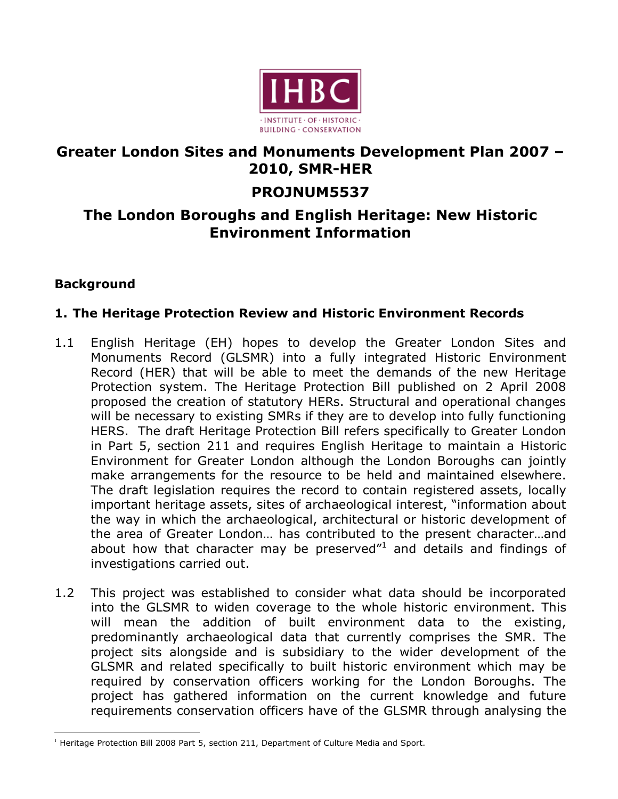

# **Greater London Sites and Monuments Development Plan 2007 – 2010, SMR-HER**

# **PROJNUM5537**

# **The London Boroughs and English Heritage: New Historic Environment Information**

## **Background**

## **1. The Heritage Protection Review and Historic Environment Records**

- 1.1 English Heritage (EH) hopes to develop the Greater London Sites and Monuments Record (GLSMR) into a fully integrated Historic Environment Record (HER) that will be able to meet the demands of the new Heritage Protection system. The Heritage Protection Bill published on 2 April 2008 proposed the creation of statutory HERs. Structural and operational changes will be necessary to existing SMRs if they are to develop into fully functioning HERS. The draft Heritage Protection Bill refers specifically to Greater London in Part 5, section 211 and requires English Heritage to maintain a Historic Environment for Greater London although the London Boroughs can jointly make arrangements for the resource to be held and maintained elsewhere. The draft legislation requires the record to contain registered assets, locally important heritage assets, sites of archaeological interest, "information about the way in which the archaeological, architectural or historic development of the area of Greater London… has contributed to the present character…and about how that character may be preserved $1$  and details and findings of investigations carried out.
- 1.2 This project was established to consider what data should be incorporated into the GLSMR to widen coverage to the whole historic environment. This will mean the addition of built environment data to the existing, predominantly archaeological data that currently comprises the SMR. The project sits alongside and is subsidiary to the wider development of the GLSMR and related specifically to built historic environment which may be required by conservation officers working for the London Boroughs. The project has gathered information on the current knowledge and future requirements conservation officers have of the GLSMR through analysing the

 $<sup>1</sup>$  Heritage Protection Bill 2008 Part 5, section 211, Department of Culture Media and Sport.</sup>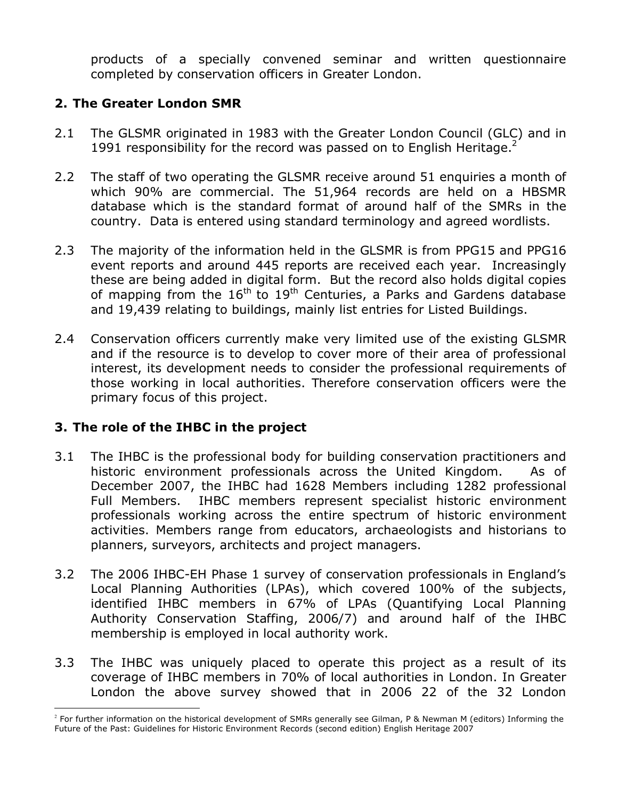products of a specially convened seminar and written questionnaire completed by conservation officers in Greater London.

## **2. The Greater London SMR**

- 2.1 The GLSMR originated in 1983 with the Greater London Council (GLC) and in 1991 responsibility for the record was passed on to English Heritage. $<sup>2</sup>$ </sup>
- 2.2 The staff of two operating the GLSMR receive around 51 enquiries a month of which 90% are commercial. The 51,964 records are held on a HBSMR database which is the standard format of around half of the SMRs in the country. Data is entered using standard terminology and agreed wordlists.
- 2.3 The majority of the information held in the GLSMR is from PPG15 and PPG16 event reports and around 445 reports are received each year. Increasingly these are being added in digital form. But the record also holds digital copies of mapping from the  $16<sup>th</sup>$  to  $19<sup>th</sup>$  Centuries, a Parks and Gardens database and 19,439 relating to buildings, mainly list entries for Listed Buildings.
- 2.4 Conservation officers currently make very limited use of the existing GLSMR and if the resource is to develop to cover more of their area of professional interest, its development needs to consider the professional requirements of those working in local authorities. Therefore conservation officers were the primary focus of this project.

## **3. The role of the IHBC in the project**

- 3.1 The IHBC is the professional body for building conservation practitioners and historic environment professionals across the United Kingdom. As of December 2007, the IHBC had 1628 Members including 1282 professional Full Members. IHBC members represent specialist historic environment professionals working across the entire spectrum of historic environment activities. Members range from educators, archaeologists and historians to planners, surveyors, architects and project managers.
- 3.2 The 2006 IHBC-EH Phase 1 survey of conservation professionals in England's Local Planning Authorities (LPAs), which covered 100% of the subjects, identified IHBC members in 67% of LPAs (Quantifying Local Planning Authority Conservation Staffing, 2006/7) and around half of the IHBC membership is employed in local authority work.
- 3.3 The IHBC was uniquely placed to operate this project as a result of its coverage of IHBC members in 70% of local authorities in London. In Greater London the above survey showed that in 2006 22 of the 32 London

 $^2$  For further information on the historical development of SMRs generally see Gilman, P & Newman M (editors) Informing the Future of the Past: Guidelines for Historic Environment Records (second edition) English Heritage 2007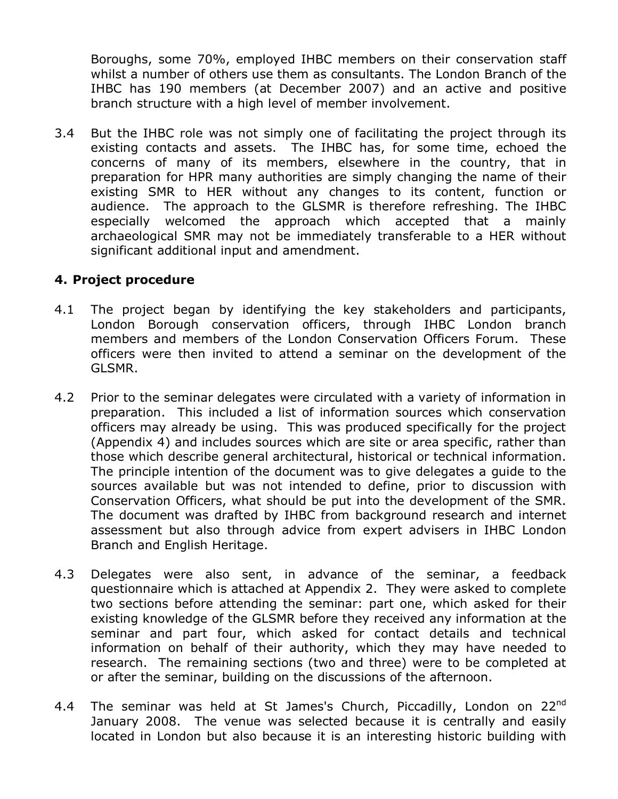Boroughs, some 70%, employed IHBC members on their conservation staff whilst a number of others use them as consultants. The London Branch of the IHBC has 190 members (at December 2007) and an active and positive branch structure with a high level of member involvement.

3.4 But the IHBC role was not simply one of facilitating the project through its existing contacts and assets. The IHBC has, for some time, echoed the concerns of many of its members, elsewhere in the country, that in preparation for HPR many authorities are simply changing the name of their existing SMR to HER without any changes to its content, function or audience. The approach to the GLSMR is therefore refreshing. The IHBC especially welcomed the approach which accepted that a mainly archaeological SMR may not be immediately transferable to a HER without significant additional input and amendment.

## **4. Project procedure**

- 4.1 The project began by identifying the key stakeholders and participants, London Borough conservation officers, through IHBC London branch members and members of the London Conservation Officers Forum. These officers were then invited to attend a seminar on the development of the GLSMR.
- 4.2 Prior to the seminar delegates were circulated with a variety of information in preparation. This included a list of information sources which conservation officers may already be using. This was produced specifically for the project (Appendix 4) and includes sources which are site or area specific, rather than those which describe general architectural, historical or technical information. The principle intention of the document was to give delegates a guide to the sources available but was not intended to define, prior to discussion with Conservation Officers, what should be put into the development of the SMR. The document was drafted by IHBC from background research and internet assessment but also through advice from expert advisers in IHBC London Branch and English Heritage.
- 4.3 Delegates were also sent, in advance of the seminar, a feedback questionnaire which is attached at Appendix 2. They were asked to complete two sections before attending the seminar: part one, which asked for their existing knowledge of the GLSMR before they received any information at the seminar and part four, which asked for contact details and technical information on behalf of their authority, which they may have needed to research. The remaining sections (two and three) were to be completed at or after the seminar, building on the discussions of the afternoon.
- 4.4 The seminar was held at St James's Church, Piccadilly, London on  $22^{nd}$ January 2008. The venue was selected because it is centrally and easily located in London but also because it is an interesting historic building with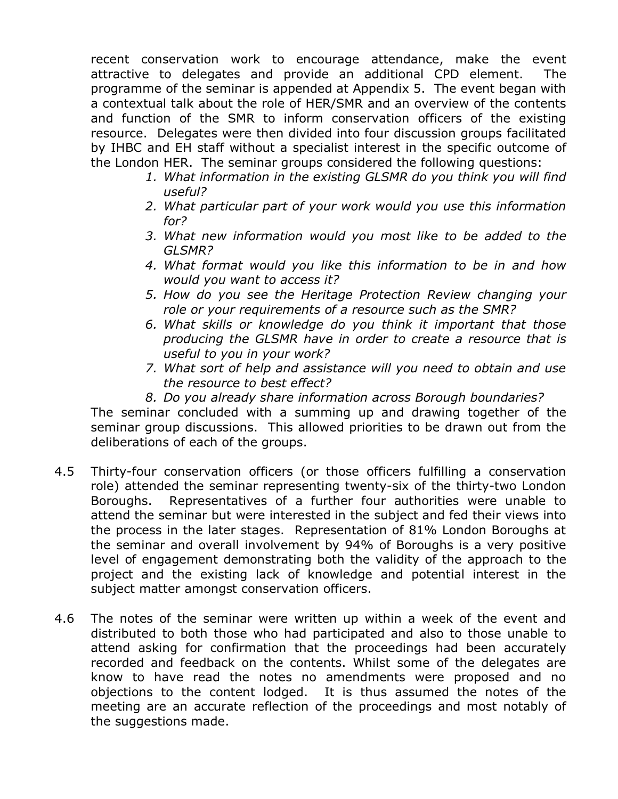recent conservation work to encourage attendance, make the event attractive to delegates and provide an additional CPD element. The programme of the seminar is appended at Appendix 5. The event began with a contextual talk about the role of HER/SMR and an overview of the contents and function of the SMR to inform conservation officers of the existing resource. Delegates were then divided into four discussion groups facilitated by IHBC and EH staff without a specialist interest in the specific outcome of the London HER. The seminar groups considered the following questions:

- *1. What information in the existing GLSMR do you think you will find useful?*
- *2. What particular part of your work would you use this information for?*
- *3. What new information would you most like to be added to the GLSMR?*
- *4. What format would you like this information to be in and how would you want to access it?*
- *5. How do you see the Heritage Protection Review changing your role or your requirements of a resource such as the SMR?*
- *6. What skills or knowledge do you think it important that those producing the GLSMR have in order to create a resource that is useful to you in your work?*
- *7. What sort of help and assistance will you need to obtain and use the resource to best effect?*
- *8. Do you already share information across Borough boundaries?*

The seminar concluded with a summing up and drawing together of the seminar group discussions. This allowed priorities to be drawn out from the deliberations of each of the groups.

- 4.5 Thirty-four conservation officers (or those officers fulfilling a conservation role) attended the seminar representing twenty-six of the thirty-two London Boroughs. Representatives of a further four authorities were unable to attend the seminar but were interested in the subject and fed their views into the process in the later stages. Representation of 81% London Boroughs at the seminar and overall involvement by 94% of Boroughs is a very positive level of engagement demonstrating both the validity of the approach to the project and the existing lack of knowledge and potential interest in the subject matter amongst conservation officers.
- 4.6 The notes of the seminar were written up within a week of the event and distributed to both those who had participated and also to those unable to attend asking for confirmation that the proceedings had been accurately recorded and feedback on the contents. Whilst some of the delegates are know to have read the notes no amendments were proposed and no objections to the content lodged. It is thus assumed the notes of the meeting are an accurate reflection of the proceedings and most notably of the suggestions made.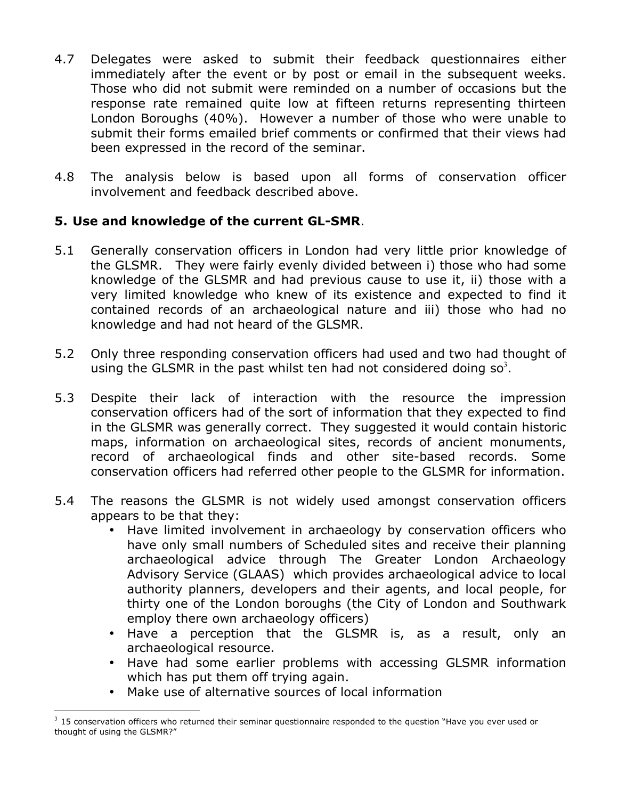- 4.7 Delegates were asked to submit their feedback questionnaires either immediately after the event or by post or email in the subsequent weeks. Those who did not submit were reminded on a number of occasions but the response rate remained quite low at fifteen returns representing thirteen London Boroughs (40%). However a number of those who were unable to submit their forms emailed brief comments or confirmed that their views had been expressed in the record of the seminar.
- 4.8 The analysis below is based upon all forms of conservation officer involvement and feedback described above.

## **5. Use and knowledge of the current GL-SMR**.

- 5.1 Generally conservation officers in London had very little prior knowledge of the GLSMR. They were fairly evenly divided between i) those who had some knowledge of the GLSMR and had previous cause to use it, ii) those with a very limited knowledge who knew of its existence and expected to find it contained records of an archaeological nature and iii) those who had no knowledge and had not heard of the GLSMR.
- 5.2 Only three responding conservation officers had used and two had thought of using the GLSMR in the past whilst ten had not considered doing so<sup>3</sup>.
- 5.3 Despite their lack of interaction with the resource the impression conservation officers had of the sort of information that they expected to find in the GLSMR was generally correct. They suggested it would contain historic maps, information on archaeological sites, records of ancient monuments, record of archaeological finds and other site-based records. Some conservation officers had referred other people to the GLSMR for information.
- 5.4 The reasons the GLSMR is not widely used amongst conservation officers appears to be that they:
	- Have limited involvement in archaeology by conservation officers who have only small numbers of Scheduled sites and receive their planning archaeological advice through The Greater London Archaeology Advisory Service (GLAAS) which provides archaeological advice to local authority planners, developers and their agents, and local people, for thirty one of the London boroughs (the City of London and Southwark employ there own archaeology officers)
	- Have a perception that the GLSMR is, as a result, only an archaeological resource.
	- Have had some earlier problems with accessing GLSMR information which has put them off trying again.
	- Make use of alternative sources of local information

 $3$  15 conservation officers who returned their seminar questionnaire responded to the question "Have you ever used or thought of using the GLSMR?"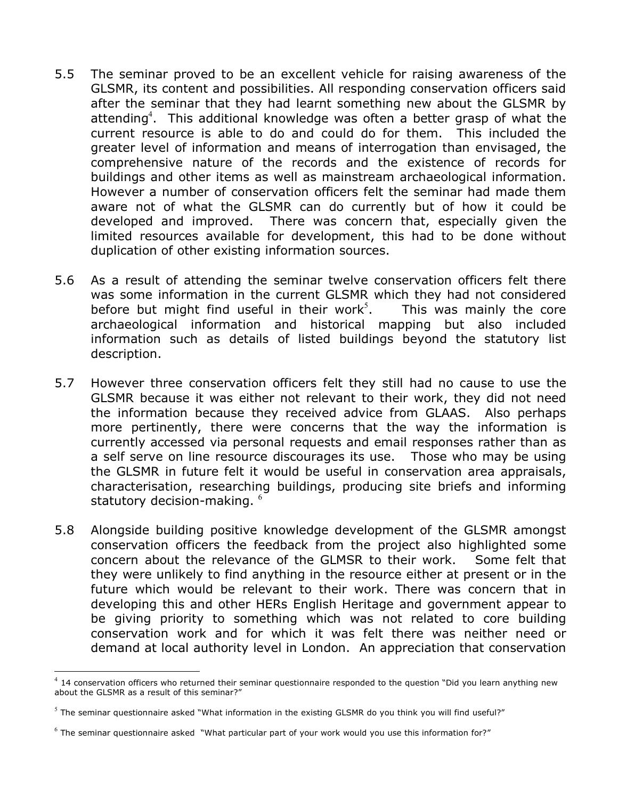- 5.5 The seminar proved to be an excellent vehicle for raising awareness of the GLSMR, its content and possibilities. All responding conservation officers said after the seminar that they had learnt something new about the GLSMR by attending<sup>4</sup>. This additional knowledge was often a better grasp of what the current resource is able to do and could do for them. This included the greater level of information and means of interrogation than envisaged, the comprehensive nature of the records and the existence of records for buildings and other items as well as mainstream archaeological information. However a number of conservation officers felt the seminar had made them aware not of what the GLSMR can do currently but of how it could be developed and improved. There was concern that, especially given the limited resources available for development, this had to be done without duplication of other existing information sources.
- 5.6 As a result of attending the seminar twelve conservation officers felt there was some information in the current GLSMR which they had not considered before but might find useful in their work<sup>5</sup>. . This was mainly the core archaeological information and historical mapping but also included information such as details of listed buildings beyond the statutory list description.
- 5.7 However three conservation officers felt they still had no cause to use the GLSMR because it was either not relevant to their work, they did not need the information because they received advice from GLAAS. Also perhaps more pertinently, there were concerns that the way the information is currently accessed via personal requests and email responses rather than as a self serve on line resource discourages its use. Those who may be using the GLSMR in future felt it would be useful in conservation area appraisals, characterisation, researching buildings, producing site briefs and informing statutory decision-making.  $6\overline{ }$
- 5.8 Alongside building positive knowledge development of the GLSMR amongst conservation officers the feedback from the project also highlighted some concern about the relevance of the GLMSR to their work. Some felt that they were unlikely to find anything in the resource either at present or in the future which would be relevant to their work. There was concern that in developing this and other HERs English Heritage and government appear to be giving priority to something which was not related to core building conservation work and for which it was felt there was neither need or demand at local authority level in London. An appreciation that conservation

 $^4$  14 conservation officers who returned their seminar questionnaire responded to the question "Did you learn anything new about the GLSMR as a result of this seminar?"

 $<sup>5</sup>$  The seminar questionnaire asked "What information in the existing GLSMR do you think you will find useful?"</sup>

 $6$  The seminar questionnaire asked "What particular part of your work would you use this information for?"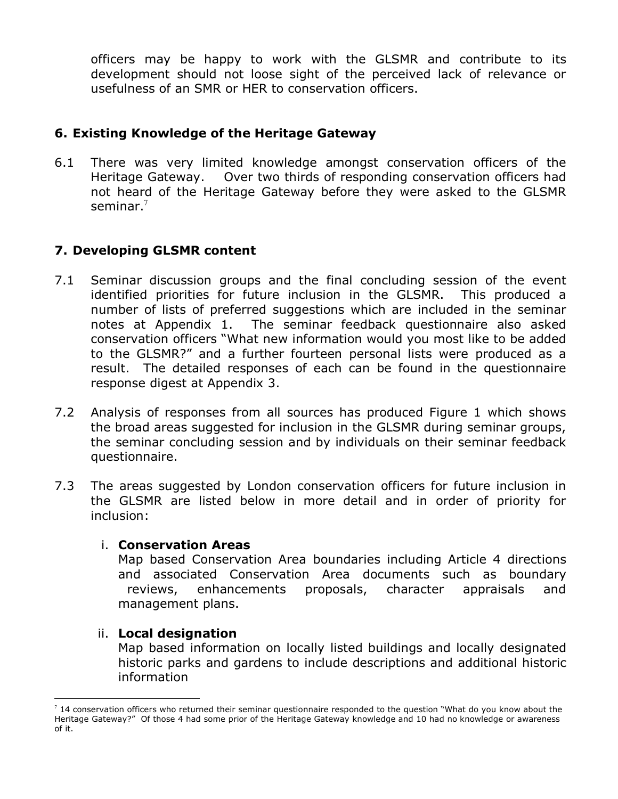officers may be happy to work with the GLSMR and contribute to its development should not loose sight of the perceived lack of relevance or usefulness of an SMR or HER to conservation officers.

## **6. Existing Knowledge of the Heritage Gateway**

6.1 There was very limited knowledge amongst conservation officers of the Heritage Gateway. Over two thirds of responding conservation officers had not heard of the Heritage Gateway before they were asked to the GLSMR seminar. $^7$ 

## **7. Developing GLSMR content**

- 7.1 Seminar discussion groups and the final concluding session of the event identified priorities for future inclusion in the GLSMR. This produced a number of lists of preferred suggestions which are included in the seminar notes at Appendix 1. The seminar feedback questionnaire also asked conservation officers "What new information would you most like to be added to the GLSMR?" and a further fourteen personal lists were produced as a result. The detailed responses of each can be found in the questionnaire response digest at Appendix 3.
- 7.2 Analysis of responses from all sources has produced Figure 1 which shows the broad areas suggested for inclusion in the GLSMR during seminar groups, the seminar concluding session and by individuals on their seminar feedback questionnaire.
- 7.3 The areas suggested by London conservation officers for future inclusion in the GLSMR are listed below in more detail and in order of priority for inclusion:

#### i. **Conservation Areas**

Map based Conservation Area boundaries including Article 4 directions and associated Conservation Area documents such as boundary reviews, enhancements proposals, character appraisals and management plans.

#### ii. **Local designation**

Map based information on locally listed buildings and locally designated historic parks and gardens to include descriptions and additional historic information

 $^7$  14 conservation officers who returned their seminar questionnaire responded to the question "What do you know about the Heritage Gateway?" Of those 4 had some prior of the Heritage Gateway knowledge and 10 had no knowledge or awareness of it.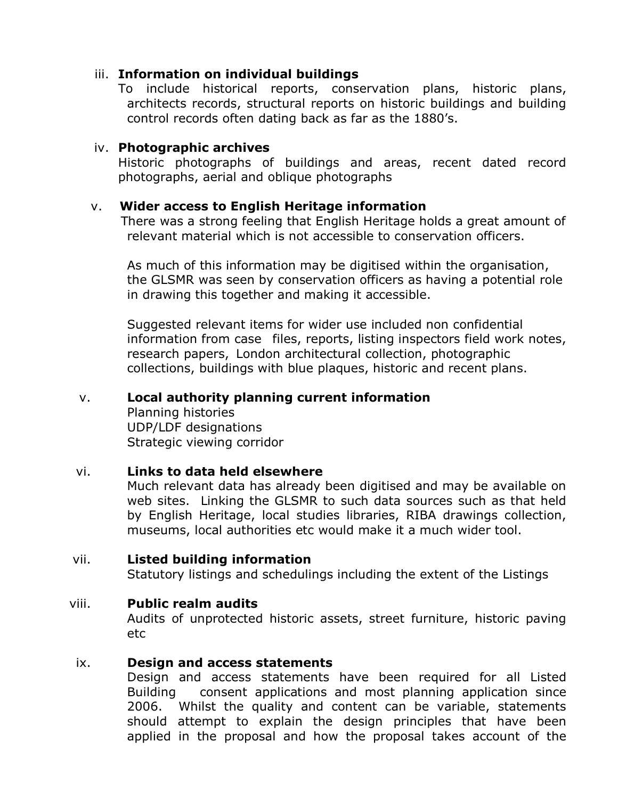#### iii. **Information on individual buildings**

To include historical reports, conservation plans, historic plans, architects records, structural reports on historic buildings and building control records often dating back as far as the 1880's.

#### iv. **Photographic archives**

Historic photographs of buildings and areas, recent dated record photographs, aerial and oblique photographs

#### v. **Wider access to English Heritage information**

There was a strong feeling that English Heritage holds a great amount of relevant material which is not accessible to conservation officers.

As much of this information may be digitised within the organisation, the GLSMR was seen by conservation officers as having a potential role in drawing this together and making it accessible.

Suggested relevant items for wider use included non confidential information from case files, reports, listing inspectors field work notes, research papers, London architectural collection, photographic collections, buildings with blue plaques, historic and recent plans.

#### v. **Local authority planning current information**

Planning histories UDP/LDF designations Strategic viewing corridor

#### vi. **Links to data held elsewhere**

Much relevant data has already been digitised and may be available on web sites. Linking the GLSMR to such data sources such as that held by English Heritage, local studies libraries, RIBA drawings collection, museums, local authorities etc would make it a much wider tool.

#### vii. **Listed building information**

Statutory listings and schedulings including the extent of the Listings

#### viii. **Public realm audits**

Audits of unprotected historic assets, street furniture, historic paving etc

#### ix. **Design and access statements**

Design and access statements have been required for all Listed Building consent applications and most planning application since 2006. Whilst the quality and content can be variable, statements should attempt to explain the design principles that have been applied in the proposal and how the proposal takes account of the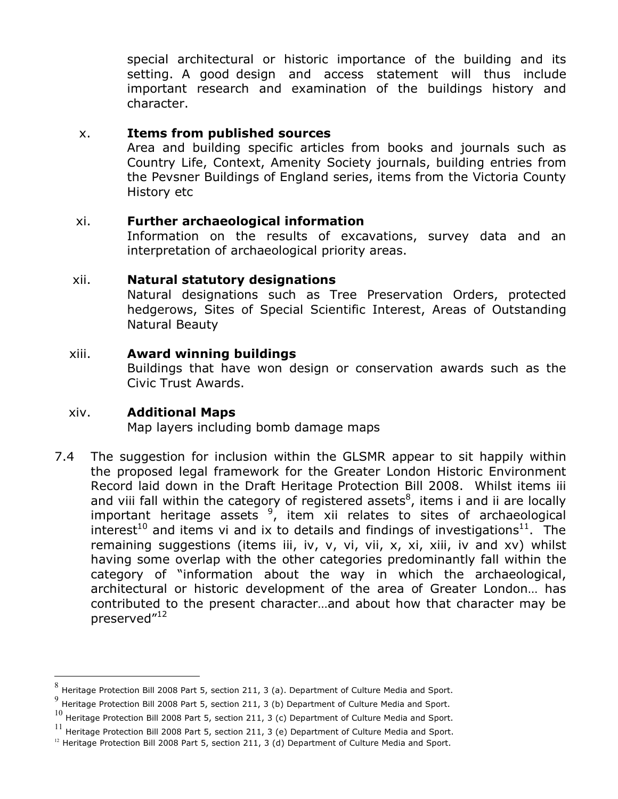special architectural or historic importance of the building and its setting. A good design and access statement will thus include important research and examination of the buildings history and character.

#### x. **Items from published sources**

Area and building specific articles from books and journals such as Country Life, Context, Amenity Society journals, building entries from the Pevsner Buildings of England series, items from the Victoria County History etc

#### xi. **Further archaeological information**

Information on the results of excavations, survey data and an interpretation of archaeological priority areas.

#### xii. **Natural statutory designations**

Natural designations such as Tree Preservation Orders, protected hedgerows, Sites of Special Scientific Interest, Areas of Outstanding Natural Beauty

#### xiii. **Award winning buildings**

Buildings that have won design or conservation awards such as the Civic Trust Awards.

#### xiv. **Additional Maps**

Map layers including bomb damage maps

7.4 The suggestion for inclusion within the GLSMR appear to sit happily within the proposed legal framework for the Greater London Historic Environment Record laid down in the Draft Heritage Protection Bill 2008. Whilst items iii and viii fall within the category of registered assets<sup>8</sup>, items i and ii are locally important heritage assets  $9'$ , item xii relates to sites of archaeological interest<sup>10</sup> and items vi and ix to details and findings of investigations<sup>11</sup>. The remaining suggestions (items iii, iv, v, vi, vii, x, xi, xiii, iv and xv) whilst having some overlap with the other categories predominantly fall within the category of "information about the way in which the archaeological, architectural or historic development of the area of Greater London… has contributed to the present character…and about how that character may be preserved"<sup>12</sup>

 <sup>8</sup> Heritage Protection Bill 2008 Part 5, section 211, 3 (a). Department of Culture Media and Sport.

Heritage Protection Bill 2008 Part 5, section 211, 3 (b) Department of Culture Media and Sport.

 $^{10}$  Heritage Protection Bill 2008 Part 5, section 211, 3 (c) Department of Culture Media and Sport.

 $^{11}$  Heritage Protection Bill 2008 Part 5, section 211, 3 (e) Department of Culture Media and Sport.

 $12$  Heritage Protection Bill 2008 Part 5, section 211, 3 (d) Department of Culture Media and Sport.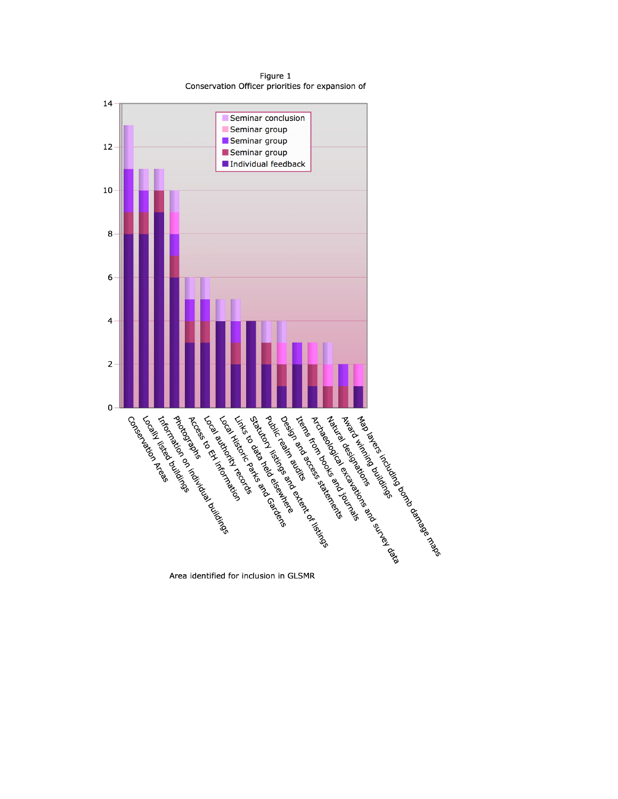Figure 1 Conservation Officer priorities for expansion of



Area identified for inclusion in GLSMR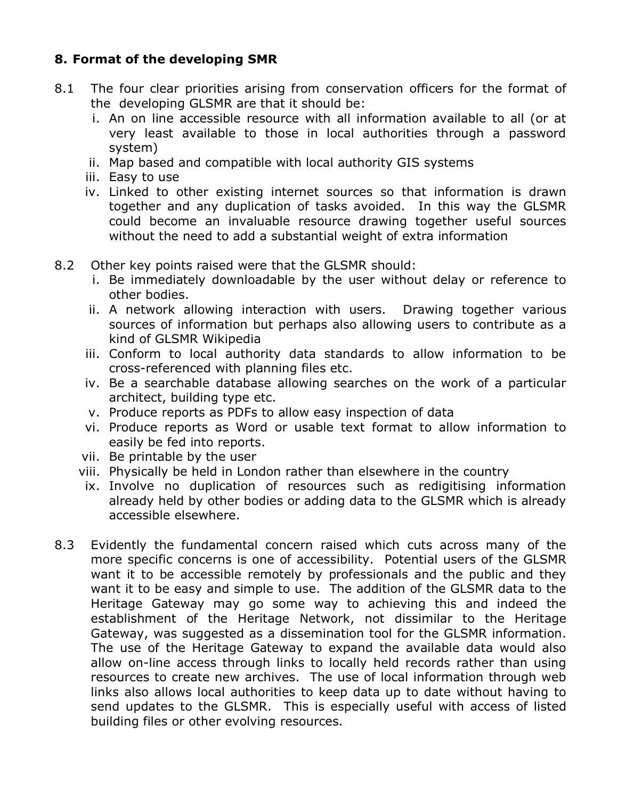## **8. Format of the developing SMR**

- 8.1 The four clear priorities arising from conservation officers for the format of the developing GLSMR are that it should be:
	- i. An on line accessible resource with all information available to all (or at very least available to those in local authorities through a password system)
	- ii. Map based and compatible with local authority GIS systems
	- iii. Easy to use
	- iv. Linked to other existing internet sources so that information is drawn together and any duplication of tasks avoided. In this way the GLSMR could become an invaluable resource drawing together useful sources without the need to add a substantial weight of extra information
- 8.2 Other key points raised were that the GLSMR should:
	- i. Be immediately downloadable by the user without delay or reference to other bodies.
	- ii. A network allowing interaction with users. Drawing together various sources of information but perhaps also allowing users to contribute as a kind of GLSMR Wikipedia
	- iii. Conform to local authority data standards to allow information to be cross-referenced with planning files etc.
	- iv. Be a searchable database allowing searches on the work of a particular architect, building type etc.
	- v. Produce reports as PDFs to allow easy inspection of data
	- vi. Produce reports as Word or usable text format to allow information to easily be fed into reports.
	- vii. Be printable by the user
	- viii. Physically be held in London rather than elsewhere in the country
	- ix. Involve no duplication of resources such as redigitising information already held by other bodies or adding data to the GLSMR which is already accessible elsewhere.
- 8.3 Evidently the fundamental concern raised which cuts across many of the more specific concerns is one of accessibility. Potential users of the GLSMR want it to be accessible remotely by professionals and the public and they want it to be easy and simple to use. The addition of the GLSMR data to the Heritage Gateway may go some way to achieving this and indeed the establishment of the Heritage Network, not dissimilar to the Heritage Gateway, was suggested as a dissemination tool for the GLSMR information. The use of the Heritage Gateway to expand the available data would also allow on-line access through links to locally held records rather than using resources to create new archives. The use of local information through web links also allows local authorities to keep data up to date without having to send updates to the GLSMR. This is especially useful with access of listed building files or other evolving resources.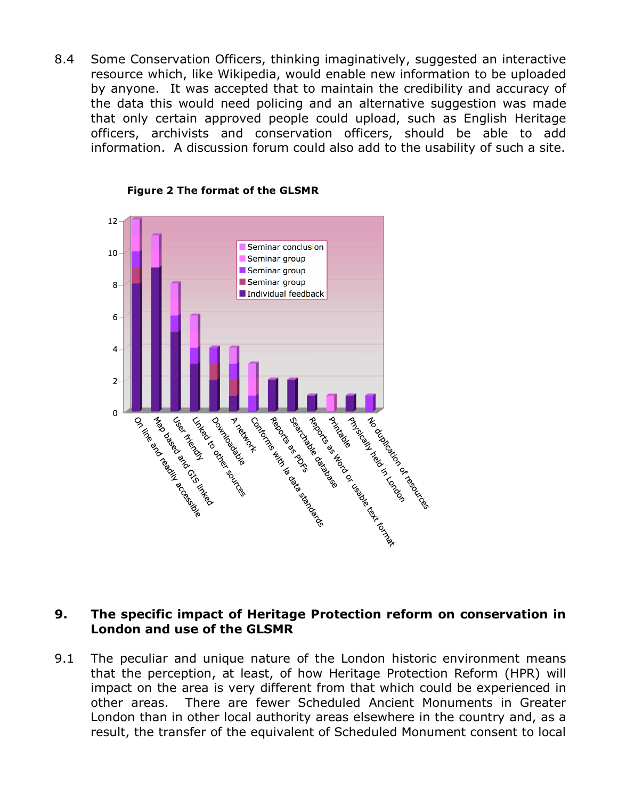8.4 Some Conservation Officers, thinking imaginatively, suggested an interactive resource which, like Wikipedia, would enable new information to be uploaded by anyone. It was accepted that to maintain the credibility and accuracy of the data this would need policing and an alternative suggestion was made that only certain approved people could upload, such as English Heritage officers, archivists and conservation officers, should be able to add information. A discussion forum could also add to the usability of such a site.



**Figure 2 The format of the GLSMR**

#### **9. The specific impact of Heritage Protection reform on conservation in London and use of the GLSMR**

9.1 The peculiar and unique nature of the London historic environment means that the perception, at least, of how Heritage Protection Reform (HPR) will impact on the area is very different from that which could be experienced in other areas. There are fewer Scheduled Ancient Monuments in Greater London than in other local authority areas elsewhere in the country and, as a result, the transfer of the equivalent of Scheduled Monument consent to local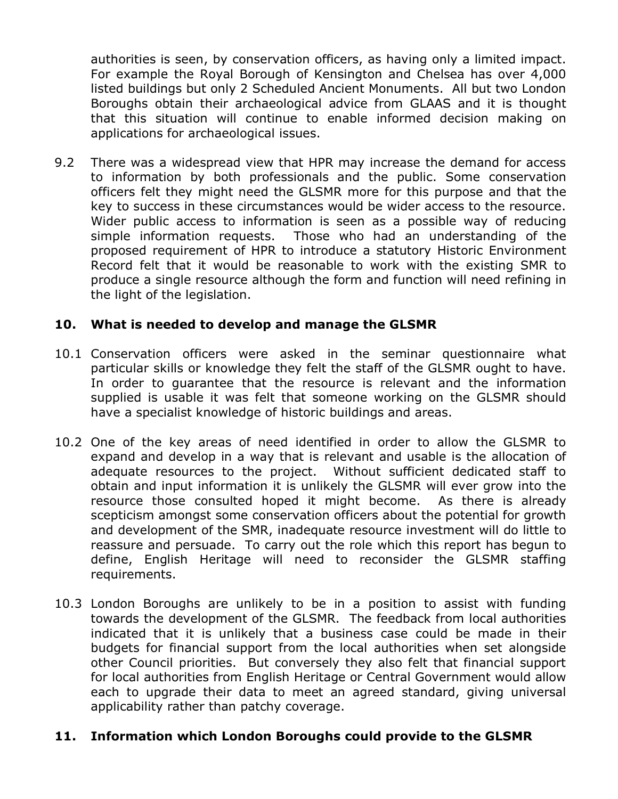authorities is seen, by conservation officers, as having only a limited impact. For example the Royal Borough of Kensington and Chelsea has over 4,000 listed buildings but only 2 Scheduled Ancient Monuments. All but two London Boroughs obtain their archaeological advice from GLAAS and it is thought that this situation will continue to enable informed decision making on applications for archaeological issues.

9.2 There was a widespread view that HPR may increase the demand for access to information by both professionals and the public. Some conservation officers felt they might need the GLSMR more for this purpose and that the key to success in these circumstances would be wider access to the resource. Wider public access to information is seen as a possible way of reducing simple information requests. Those who had an understanding of the proposed requirement of HPR to introduce a statutory Historic Environment Record felt that it would be reasonable to work with the existing SMR to produce a single resource although the form and function will need refining in the light of the legislation.

#### **10. What is needed to develop and manage the GLSMR**

- 10.1 Conservation officers were asked in the seminar questionnaire what particular skills or knowledge they felt the staff of the GLSMR ought to have. In order to guarantee that the resource is relevant and the information supplied is usable it was felt that someone working on the GLSMR should have a specialist knowledge of historic buildings and areas.
- 10.2 One of the key areas of need identified in order to allow the GLSMR to expand and develop in a way that is relevant and usable is the allocation of adequate resources to the project. Without sufficient dedicated staff to obtain and input information it is unlikely the GLSMR will ever grow into the resource those consulted hoped it might become. As there is already scepticism amongst some conservation officers about the potential for growth and development of the SMR, inadequate resource investment will do little to reassure and persuade. To carry out the role which this report has begun to define, English Heritage will need to reconsider the GLSMR staffing requirements.
- 10.3 London Boroughs are unlikely to be in a position to assist with funding towards the development of the GLSMR. The feedback from local authorities indicated that it is unlikely that a business case could be made in their budgets for financial support from the local authorities when set alongside other Council priorities. But conversely they also felt that financial support for local authorities from English Heritage or Central Government would allow each to upgrade their data to meet an agreed standard, giving universal applicability rather than patchy coverage.

#### **11. Information which London Boroughs could provide to the GLSMR**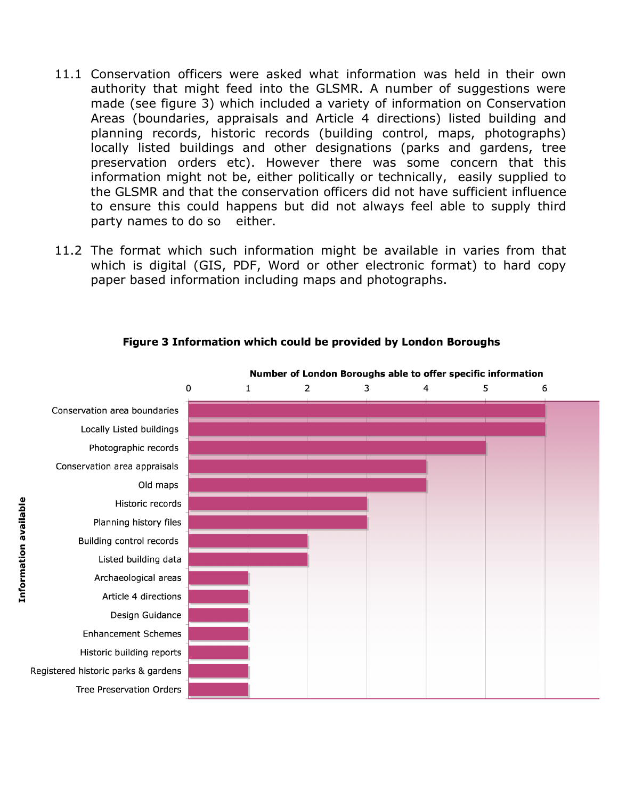- 11.1 Conservation officers were asked what information was held in their own authority that might feed into the GLSMR. A number of suggestions were made (see figure 3) which included a variety of information on Conservation Areas (boundaries, appraisals and Article 4 directions) listed building and planning records, historic records (building control, maps, photographs) locally listed buildings and other designations (parks and gardens, tree preservation orders etc). However there was some concern that this information might not be, either politically or technically, easily supplied to the GLSMR and that the conservation officers did not have sufficient influence to ensure this could happens but did not always feel able to supply third party names to do so either.
- 11.2 The format which such information might be available in varies from that which is digital (GIS, PDF, Word or other electronic format) to hard copy paper based information including maps and photographs.



#### Figure 3 Information which could be provided by London Boroughs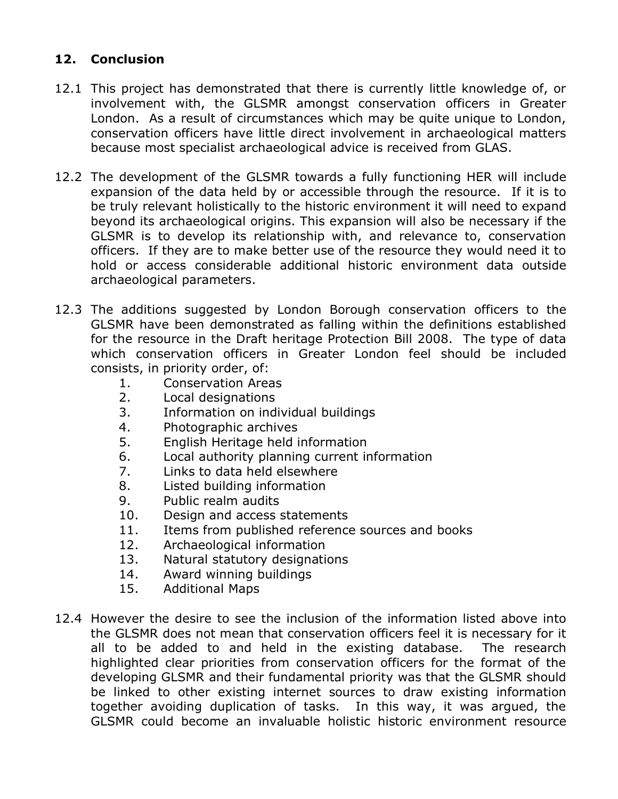## **12. Conclusion**

- 12.1 This project has demonstrated that there is currently little knowledge of, or involvement with, the GLSMR amongst conservation officers in Greater London. As a result of circumstances which may be quite unique to London, conservation officers have little direct involvement in archaeological matters because most specialist archaeological advice is received from GLAS.
- 12.2 The development of the GLSMR towards a fully functioning HER will include expansion of the data held by or accessible through the resource. If it is to be truly relevant holistically to the historic environment it will need to expand beyond its archaeological origins. This expansion will also be necessary if the GLSMR is to develop its relationship with, and relevance to, conservation officers. If they are to make better use of the resource they would need it to hold or access considerable additional historic environment data outside archaeological parameters.
- 12.3 The additions suggested by London Borough conservation officers to the GLSMR have been demonstrated as falling within the definitions established for the resource in the Draft heritage Protection Bill 2008. The type of data which conservation officers in Greater London feel should be included consists, in priority order, of:
	- 1. Conservation Areas
	- 2. Local designations
	- 3. Information on individual buildings
	- 4. Photographic archives
	- 5. English Heritage held information
	- 6. Local authority planning current information
	- 7. Links to data held elsewhere
	- 8. Listed building information
	- 9. Public realm audits
	- 10. Design and access statements
	- 11. Items from published reference sources and books
	- 12. Archaeological information
	- 13. Natural statutory designations
	- 14. Award winning buildings
	- 15. Additional Maps
- 12.4 However the desire to see the inclusion of the information listed above into the GLSMR does not mean that conservation officers feel it is necessary for it all to be added to and held in the existing database. The research highlighted clear priorities from conservation officers for the format of the developing GLSMR and their fundamental priority was that the GLSMR should be linked to other existing internet sources to draw existing information together avoiding duplication of tasks. In this way, it was argued, the GLSMR could become an invaluable holistic historic environment resource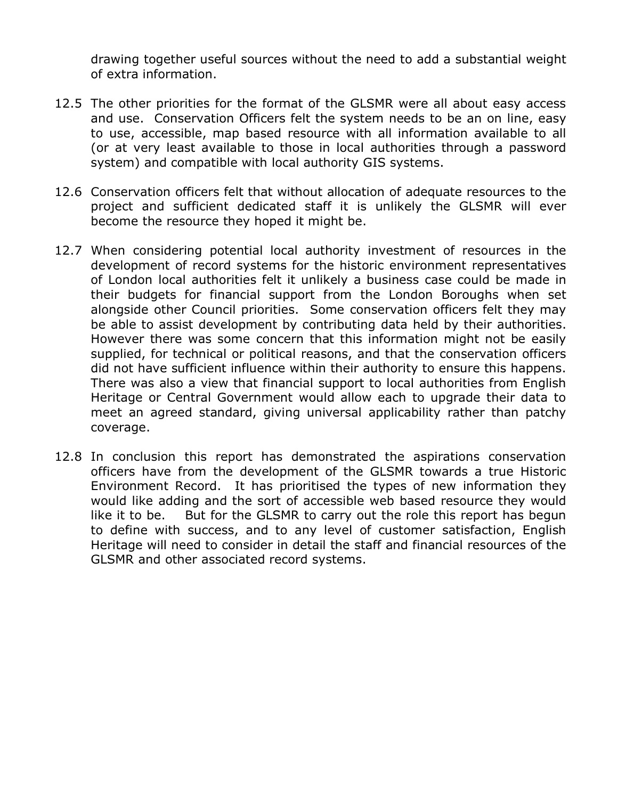drawing together useful sources without the need to add a substantial weight of extra information.

- 12.5 The other priorities for the format of the GLSMR were all about easy access and use. Conservation Officers felt the system needs to be an on line, easy to use, accessible, map based resource with all information available to all (or at very least available to those in local authorities through a password system) and compatible with local authority GIS systems.
- 12.6 Conservation officers felt that without allocation of adequate resources to the project and sufficient dedicated staff it is unlikely the GLSMR will ever become the resource they hoped it might be.
- 12.7 When considering potential local authority investment of resources in the development of record systems for the historic environment representatives of London local authorities felt it unlikely a business case could be made in their budgets for financial support from the London Boroughs when set alongside other Council priorities. Some conservation officers felt they may be able to assist development by contributing data held by their authorities. However there was some concern that this information might not be easily supplied, for technical or political reasons, and that the conservation officers did not have sufficient influence within their authority to ensure this happens. There was also a view that financial support to local authorities from English Heritage or Central Government would allow each to upgrade their data to meet an agreed standard, giving universal applicability rather than patchy coverage.
- 12.8 In conclusion this report has demonstrated the aspirations conservation officers have from the development of the GLSMR towards a true Historic Environment Record. It has prioritised the types of new information they would like adding and the sort of accessible web based resource they would like it to be. But for the GLSMR to carry out the role this report has begun to define with success, and to any level of customer satisfaction, English Heritage will need to consider in detail the staff and financial resources of the GLSMR and other associated record systems.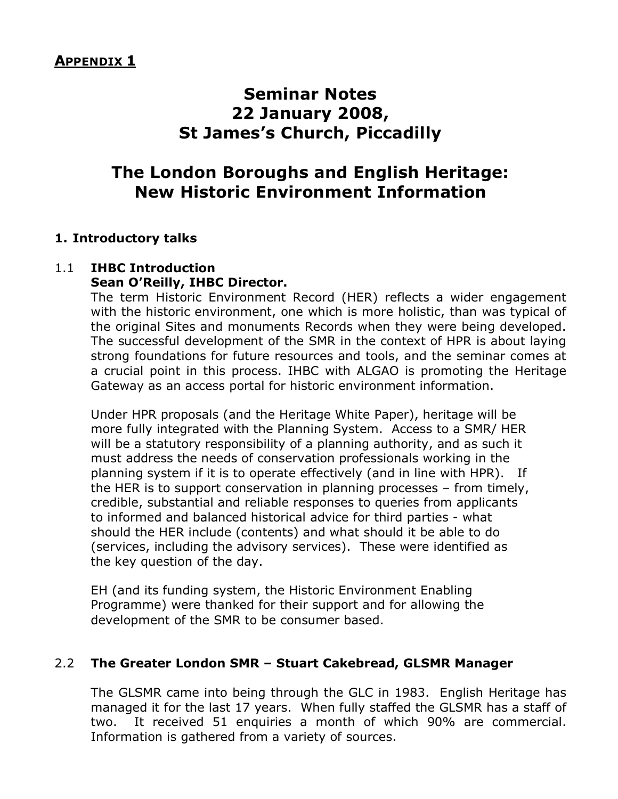# **Seminar Notes 22 January 2008, St James's Church, Piccadilly**

# **The London Boroughs and English Heritage: New Historic Environment Information**

## **1. Introductory talks**

#### 1.1 **IHBC Introduction Sean O'Reilly, IHBC Director.**

The term Historic Environment Record (HER) reflects a wider engagement with the historic environment, one which is more holistic, than was typical of the original Sites and monuments Records when they were being developed. The successful development of the SMR in the context of HPR is about laying strong foundations for future resources and tools, and the seminar comes at a crucial point in this process. IHBC with ALGAO is promoting the Heritage Gateway as an access portal for historic environment information.

Under HPR proposals (and the Heritage White Paper), heritage will be more fully integrated with the Planning System. Access to a SMR/ HER will be a statutory responsibility of a planning authority, and as such it must address the needs of conservation professionals working in the planning system if it is to operate effectively (and in line with HPR). If the HER is to support conservation in planning processes – from timely, credible, substantial and reliable responses to queries from applicants to informed and balanced historical advice for third parties - what should the HER include (contents) and what should it be able to do (services, including the advisory services). These were identified as the key question of the day.

EH (and its funding system, the Historic Environment Enabling Programme) were thanked for their support and for allowing the development of the SMR to be consumer based.

## 2.2 **The Greater London SMR – Stuart Cakebread, GLSMR Manager**

The GLSMR came into being through the GLC in 1983. English Heritage has managed it for the last 17 years. When fully staffed the GLSMR has a staff of two. It received 51 enquiries a month of which 90% are commercial. Information is gathered from a variety of sources.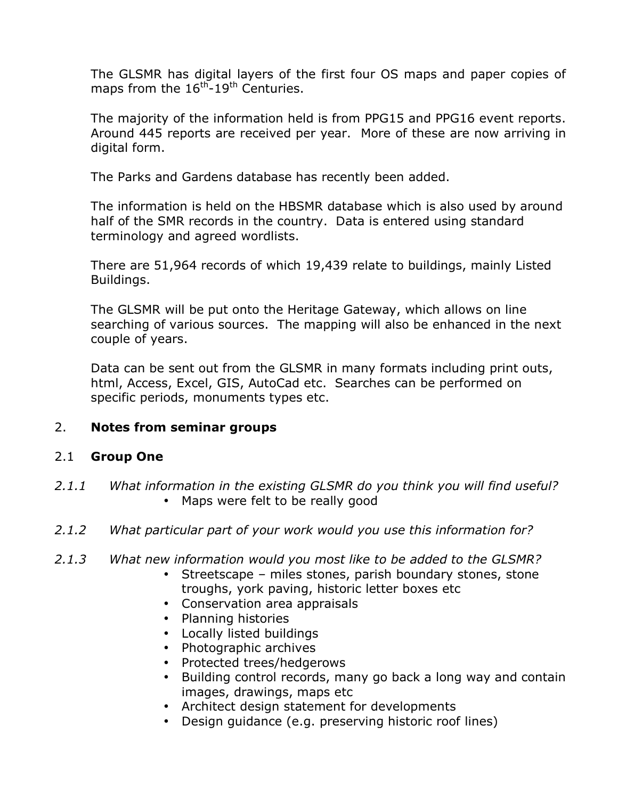The GLSMR has digital layers of the first four OS maps and paper copies of maps from the  $16<sup>th</sup>$ -19<sup>th</sup> Centuries.

The majority of the information held is from PPG15 and PPG16 event reports. Around 445 reports are received per year. More of these are now arriving in digital form.

The Parks and Gardens database has recently been added.

The information is held on the HBSMR database which is also used by around half of the SMR records in the country. Data is entered using standard terminology and agreed wordlists.

There are 51,964 records of which 19,439 relate to buildings, mainly Listed Buildings.

The GLSMR will be put onto the Heritage Gateway, which allows on line searching of various sources. The mapping will also be enhanced in the next couple of years.

Data can be sent out from the GLSMR in many formats including print outs, html, Access, Excel, GIS, AutoCad etc. Searches can be performed on specific periods, monuments types etc.

## 2. **Notes from seminar groups**

#### 2.1 **Group One**

- *2.1.1 What information in the existing GLSMR do you think you will find useful?* • Maps were felt to be really good
- *2.1.2 What particular part of your work would you use this information for?*
- *2.1.3 What new information would you most like to be added to the GLSMR?*
	- Streetscape miles stones, parish boundary stones, stone troughs, york paving, historic letter boxes etc
	- Conservation area appraisals
	- Planning histories
	- Locally listed buildings
	- Photographic archives
	- Protected trees/hedgerows
	- Building control records, many go back a long way and contain images, drawings, maps etc
	- Architect design statement for developments
	- Design guidance (e.g. preserving historic roof lines)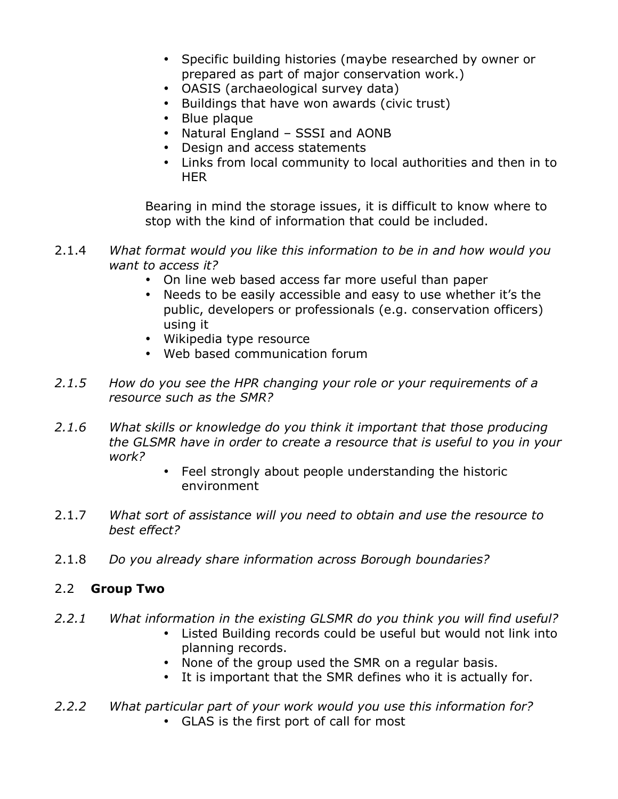- Specific building histories (maybe researched by owner or prepared as part of major conservation work.)
- OASIS (archaeological survey data)
- Buildings that have won awards (civic trust)
- Blue plaque
- Natural England SSSI and AONB
- Design and access statements
- Links from local community to local authorities and then in to HER

Bearing in mind the storage issues, it is difficult to know where to stop with the kind of information that could be included.

- 2.1.4 *What format would you like this information to be in and how would you want to access it?*
	- On line web based access far more useful than paper
	- Needs to be easily accessible and easy to use whether it's the public, developers or professionals (e.g. conservation officers) using it
	- Wikipedia type resource
	- Web based communication forum
- *2.1.5 How do you see the HPR changing your role or your requirements of a resource such as the SMR?*
- *2.1.6 What skills or knowledge do you think it important that those producing the GLSMR have in order to create a resource that is useful to you in your work?*
	- Feel strongly about people understanding the historic environment
- 2.1.7 *What sort of assistance will you need to obtain and use the resource to best effect?*
- 2.1.8 *Do you already share information across Borough boundaries?*

## 2.2 **Group Two**

- *2.2.1 What information in the existing GLSMR do you think you will find useful?*
	- Listed Building records could be useful but would not link into planning records.
	- None of the group used the SMR on a regular basis.
	- It is important that the SMR defines who it is actually for.
- *2.2.2 What particular part of your work would you use this information for?* • GLAS is the first port of call for most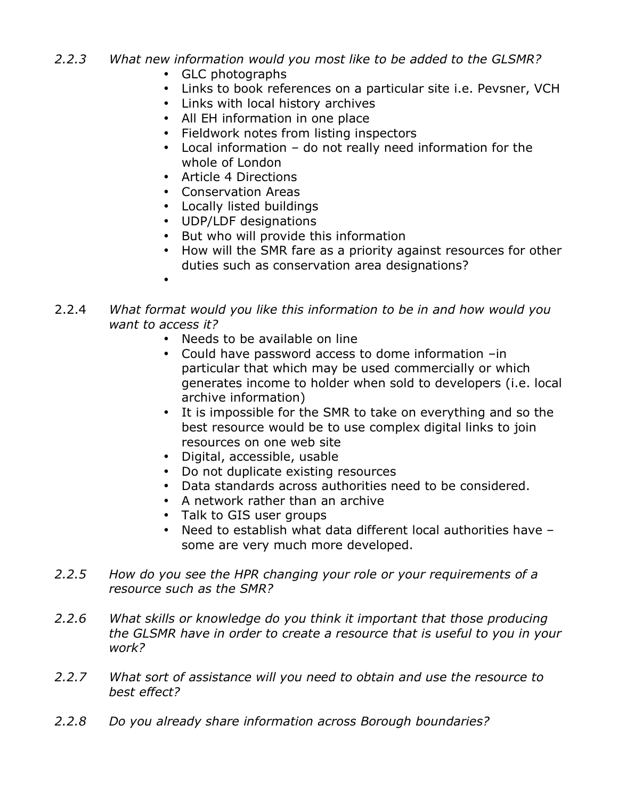- *2.2.3 What new information would you most like to be added to the GLSMR?*
	- GLC photographs
	- Links to book references on a particular site i.e. Pevsner, VCH
	- Links with local history archives
	- All EH information in one place
	- Fieldwork notes from listing inspectors
	- Local information do not really need information for the whole of London
	- Article 4 Directions
	- Conservation Areas
	- Locally listed buildings
	- UDP/LDF designations
	- But who will provide this information
	- How will the SMR fare as a priority against resources for other duties such as conservation area designations?
	- •
- 2.2.4 *What format would you like this information to be in and how would you want to access it?*
	- Needs to be available on line
	- Could have password access to dome information –in particular that which may be used commercially or which generates income to holder when sold to developers (i.e. local archive information)
	- It is impossible for the SMR to take on everything and so the best resource would be to use complex digital links to join resources on one web site
	- Digital, accessible, usable
	- Do not duplicate existing resources
	- Data standards across authorities need to be considered.
	- A network rather than an archive
	- Talk to GIS user groups
	- Need to establish what data different local authorities have some are very much more developed.
- *2.2.5 How do you see the HPR changing your role or your requirements of a resource such as the SMR?*
- *2.2.6 What skills or knowledge do you think it important that those producing the GLSMR have in order to create a resource that is useful to you in your work?*
- *2.2.7 What sort of assistance will you need to obtain and use the resource to best effect?*
- *2.2.8 Do you already share information across Borough boundaries?*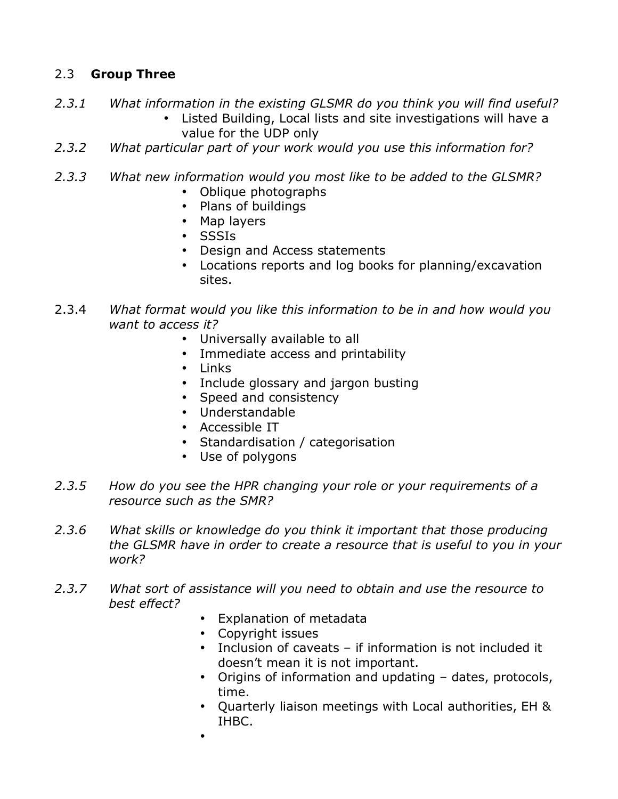## 2.3 **Group Three**

- *2.3.1 What information in the existing GLSMR do you think you will find useful?*
	- Listed Building, Local lists and site investigations will have a value for the UDP only
- *2.3.2 What particular part of your work would you use this information for?*
- *2.3.3 What new information would you most like to be added to the GLSMR?*
	- Oblique photographs
	- Plans of buildings
	- Map layers
	- SSSIs
	- Design and Access statements
	- Locations reports and log books for planning/excavation sites.
- 2.3.4 *What format would you like this information to be in and how would you want to access it?*
	- Universally available to all
	- Immediate access and printability
	- Links
	- Include glossary and jargon busting
	- Speed and consistency
	- Understandable
	- Accessible IT
	- Standardisation / categorisation
	- Use of polygons
- *2.3.5 How do you see the HPR changing your role or your requirements of a resource such as the SMR?*
- *2.3.6 What skills or knowledge do you think it important that those producing the GLSMR have in order to create a resource that is useful to you in your work?*
- *2.3.7 What sort of assistance will you need to obtain and use the resource to best effect?*
	- Explanation of metadata
	- Copyright issues
	- Inclusion of caveats if information is not included it doesn't mean it is not important.
	- Origins of information and updating dates, protocols, time.
	- Quarterly liaison meetings with Local authorities, EH & IHBC.
	- •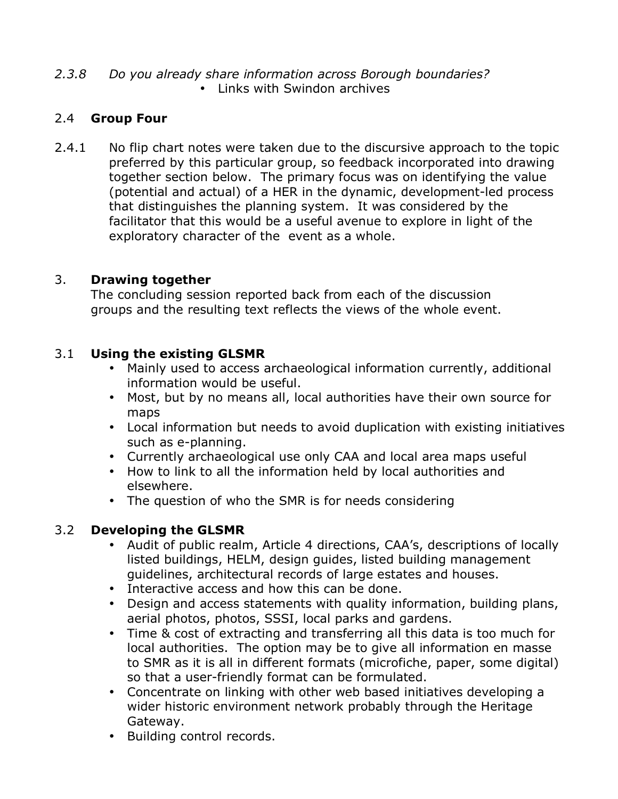#### *2.3.8 Do you already share information across Borough boundaries?* • Links with Swindon archives

## 2.4 **Group Four**

2.4.1 No flip chart notes were taken due to the discursive approach to the topic preferred by this particular group, so feedback incorporated into drawing together section below. The primary focus was on identifying the value (potential and actual) of a HER in the dynamic, development-led process that distinguishes the planning system. It was considered by the facilitator that this would be a useful avenue to explore in light of the exploratory character of the event as a whole.

## 3. **Drawing together**

The concluding session reported back from each of the discussion groups and the resulting text reflects the views of the whole event.

## 3.1 **Using the existing GLSMR**

- Mainly used to access archaeological information currently, additional information would be useful.
- Most, but by no means all, local authorities have their own source for maps
- Local information but needs to avoid duplication with existing initiatives such as e-planning.
- Currently archaeological use only CAA and local area maps useful
- How to link to all the information held by local authorities and elsewhere.
- The question of who the SMR is for needs considering

## 3.2 **Developing the GLSMR**

- Audit of public realm, Article 4 directions, CAA's, descriptions of locally listed buildings, HELM, design guides, listed building management guidelines, architectural records of large estates and houses.
- Interactive access and how this can be done.
- Design and access statements with quality information, building plans, aerial photos, photos, SSSI, local parks and gardens.
- Time & cost of extracting and transferring all this data is too much for local authorities. The option may be to give all information en masse to SMR as it is all in different formats (microfiche, paper, some digital) so that a user-friendly format can be formulated.
- Concentrate on linking with other web based initiatives developing a wider historic environment network probably through the Heritage Gateway.
- Building control records.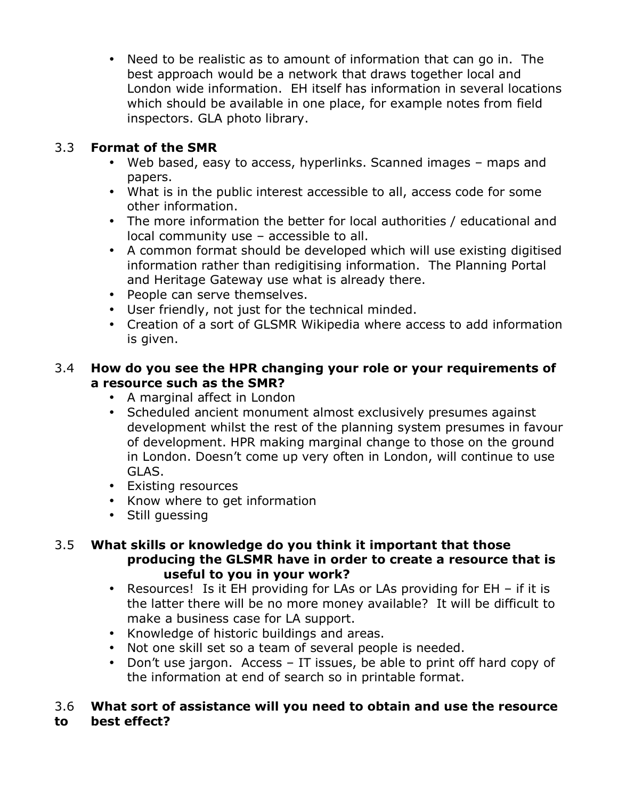• Need to be realistic as to amount of information that can go in. The best approach would be a network that draws together local and London wide information. EH itself has information in several locations which should be available in one place, for example notes from field inspectors. GLA photo library.

## 3.3 **Format of the SMR**

- Web based, easy to access, hyperlinks. Scanned images maps and papers.
- What is in the public interest accessible to all, access code for some other information.
- The more information the better for local authorities / educational and local community use – accessible to all.
- A common format should be developed which will use existing digitised information rather than redigitising information. The Planning Portal and Heritage Gateway use what is already there.
- People can serve themselves.
- User friendly, not just for the technical minded.
- Creation of a sort of GLSMR Wikipedia where access to add information is given.

## 3.4 **How do you see the HPR changing your role or your requirements of a resource such as the SMR?**

- A marginal affect in London
- Scheduled ancient monument almost exclusively presumes against development whilst the rest of the planning system presumes in favour of development. HPR making marginal change to those on the ground in London. Doesn't come up very often in London, will continue to use GLAS.
- Existing resources
- Know where to get information
- Still guessing

## 3.5 **What skills or knowledge do you think it important that those producing the GLSMR have in order to create a resource that is useful to you in your work?**

- Resources! Is it EH providing for LAs or LAs providing for EH if it is the latter there will be no more money available? It will be difficult to make a business case for LA support.
- Knowledge of historic buildings and areas.
- Not one skill set so a team of several people is needed.
- Don't use jargon. Access IT issues, be able to print off hard copy of the information at end of search so in printable format.

## 3.6 **What sort of assistance will you need to obtain and use the resource to best effect?**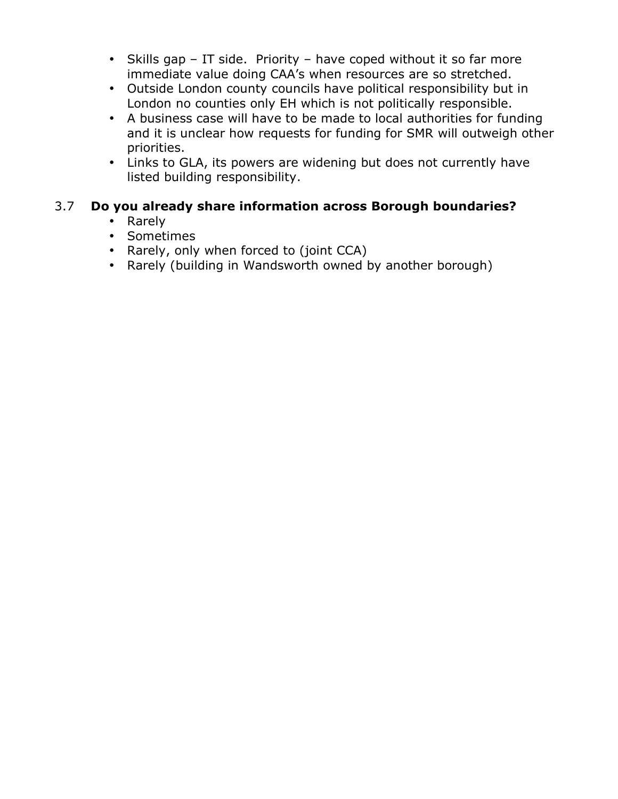- Skills gap IT side. Priority have coped without it so far more immediate value doing CAA's when resources are so stretched.
- Outside London county councils have political responsibility but in London no counties only EH which is not politically responsible.
- A business case will have to be made to local authorities for funding and it is unclear how requests for funding for SMR will outweigh other priorities.
- Links to GLA, its powers are widening but does not currently have listed building responsibility.

## 3.7 **Do you already share information across Borough boundaries?**

## • Rarely

- Sometimes
- Rarely, only when forced to (joint CCA)
- Rarely (building in Wandsworth owned by another borough)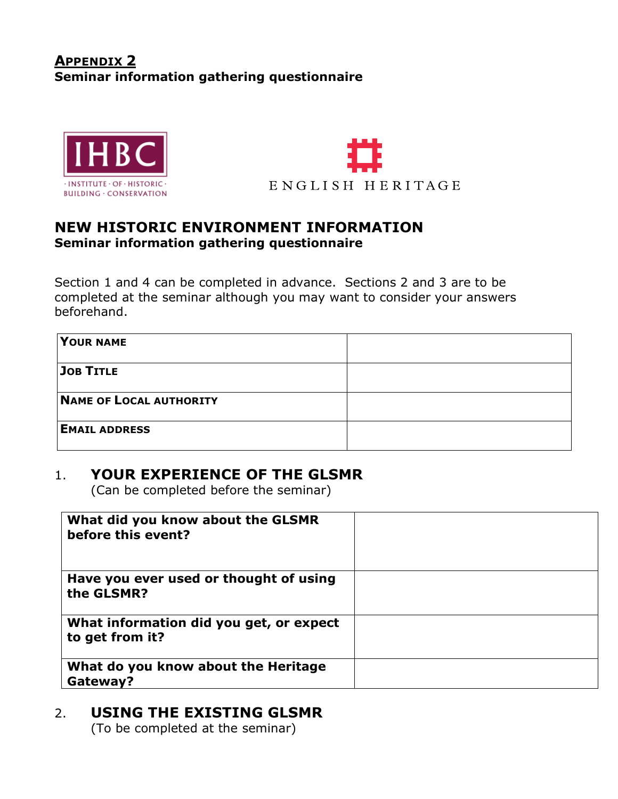## **APPENDIX 2 Seminar information gathering questionnaire**





## **NEW HISTORIC ENVIRONMENT INFORMATION Seminar information gathering questionnaire**

Section 1 and 4 can be completed in advance. Sections 2 and 3 are to be completed at the seminar although you may want to consider your answers beforehand.

| YOUR NAME               |  |
|-------------------------|--|
| JOB TITLE               |  |
| NAME OF LOCAL AUTHORITY |  |
| <b>EMAIL ADDRESS</b>    |  |

## 1. **YOUR EXPERIENCE OF THE GLSMR**

(Can be completed before the seminar)

| What did you know about the GLSMR<br>before this event?    |  |
|------------------------------------------------------------|--|
| Have you ever used or thought of using<br>the GLSMR?       |  |
| What information did you get, or expect<br>to get from it? |  |
| What do you know about the Heritage<br>Gateway?            |  |

# 2. **USING THE EXISTING GLSMR**

(To be completed at the seminar)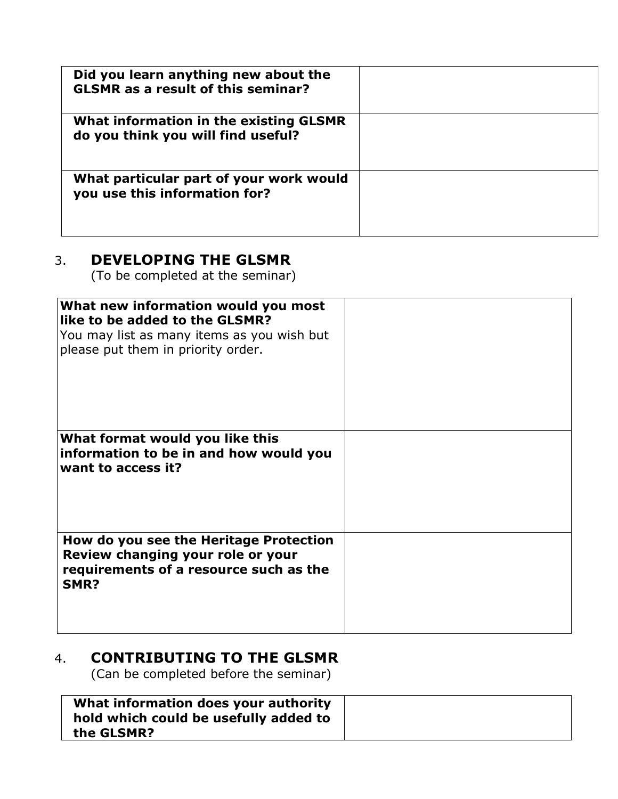| Did you learn anything new about the<br><b>GLSMR</b> as a result of this seminar? |  |
|-----------------------------------------------------------------------------------|--|
| What information in the existing GLSMR<br>do you think you will find useful?      |  |
| What particular part of your work would<br>you use this information for?          |  |

# 3. **DEVELOPING THE GLSMR**

(To be completed at the seminar)

| What new information would you most<br>like to be added to the GLSMR?<br>You may list as many items as you wish but<br>please put them in priority order. |  |
|-----------------------------------------------------------------------------------------------------------------------------------------------------------|--|
| What format would you like this<br>information to be in and how would you<br>want to access it?                                                           |  |
| How do you see the Heritage Protection<br>Review changing your role or your<br>requirements of a resource such as the<br>SMR?                             |  |

# 4. **CONTRIBUTING TO THE GLSMR**

(Can be completed before the seminar)

| What information does your authority<br>hold which could be usefully added to<br>the GLSMR? |  |
|---------------------------------------------------------------------------------------------|--|
|---------------------------------------------------------------------------------------------|--|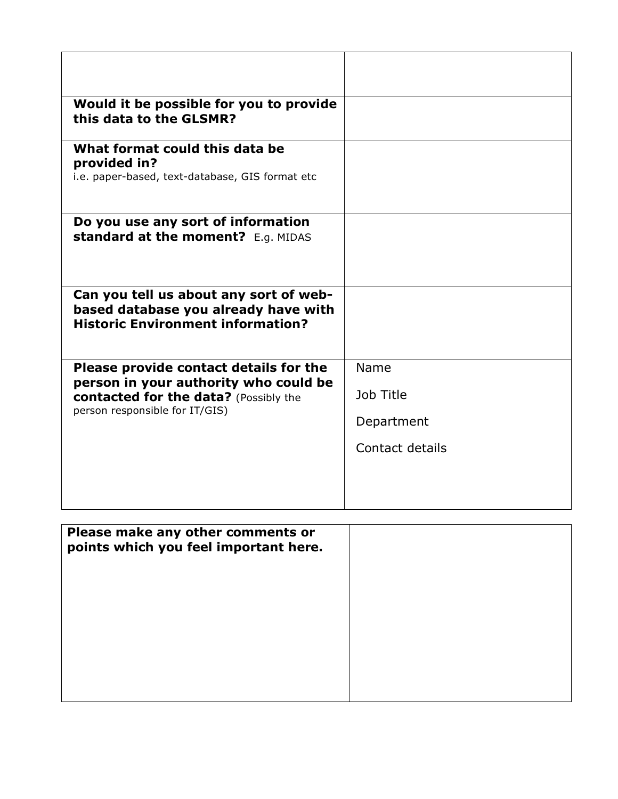| Would it be possible for you to provide<br>this data to the GLSMR?                                                         |                   |
|----------------------------------------------------------------------------------------------------------------------------|-------------------|
| What format could this data be<br>provided in?<br>i.e. paper-based, text-database, GIS format etc                          |                   |
| Do you use any sort of information<br>standard at the moment? E.g. MIDAS                                                   |                   |
| Can you tell us about any sort of web-<br>based database you already have with<br><b>Historic Environment information?</b> |                   |
| Please provide contact details for the<br>person in your authority who could be<br>contacted for the data? (Possibly the   | Name<br>Job Title |
| person responsible for IT/GIS)                                                                                             | Department        |
|                                                                                                                            | Contact details   |

| Please make any other comments or<br>points which you feel important here. |  |
|----------------------------------------------------------------------------|--|
|                                                                            |  |
|                                                                            |  |
|                                                                            |  |
|                                                                            |  |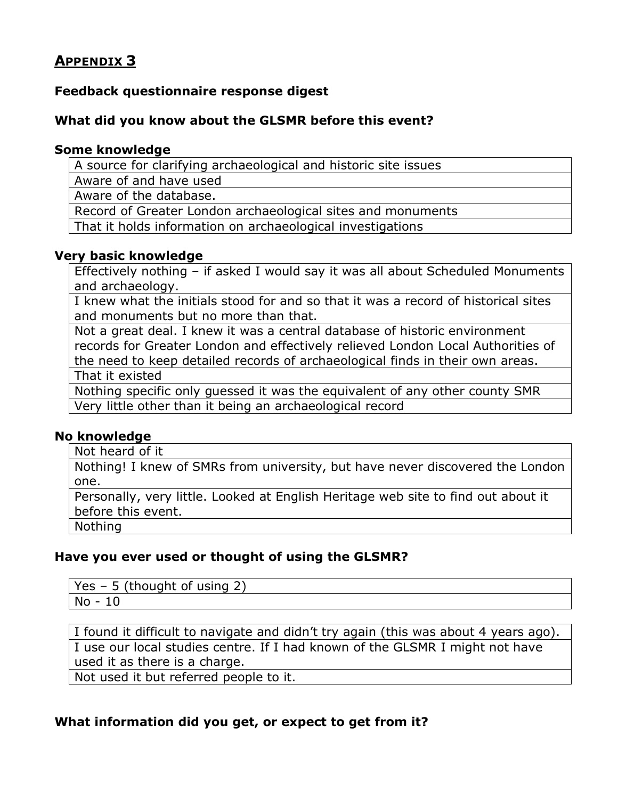## **APPENDIX 3**

## **Feedback questionnaire response digest**

#### **What did you know about the GLSMR before this event?**

#### **Some knowledge**

A source for clarifying archaeological and historic site issues

Aware of and have used

Aware of the database.

Record of Greater London archaeological sites and monuments

That it holds information on archaeological investigations

#### **Very basic knowledge**

Effectively nothing – if asked I would say it was all about Scheduled Monuments and archaeology.

I knew what the initials stood for and so that it was a record of historical sites and monuments but no more than that.

Not a great deal. I knew it was a central database of historic environment records for Greater London and effectively relieved London Local Authorities of the need to keep detailed records of archaeological finds in their own areas.

That it existed

Nothing specific only guessed it was the equivalent of any other county SMR Very little other than it being an archaeological record

#### **No knowledge**

Not heard of it

Nothing! I knew of SMRs from university, but have never discovered the London one.

Personally, very little. Looked at English Heritage web site to find out about it before this event.

Nothing

#### **Have you ever used or thought of using the GLSMR?**

Yes – 5 (thought of using 2) No - 10

I found it difficult to navigate and didn't try again (this was about 4 years ago). I use our local studies centre. If I had known of the GLSMR I might not have used it as there is a charge.

Not used it but referred people to it.

## **What information did you get, or expect to get from it?**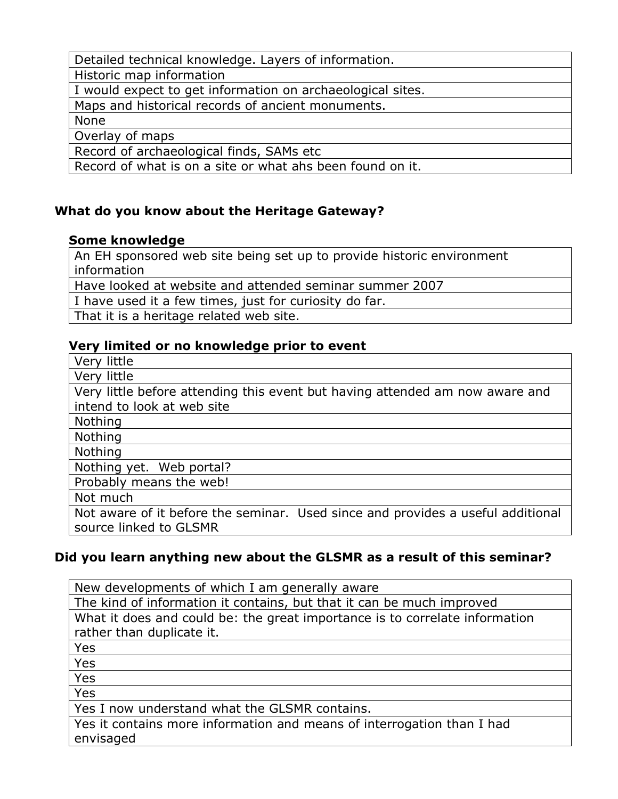Detailed technical knowledge. Layers of information.

Historic map information

I would expect to get information on archaeological sites.

Maps and historical records of ancient monuments.

None

Overlay of maps

Record of archaeological finds, SAMs etc

Record of what is on a site or what ahs been found on it.

## **What do you know about the Heritage Gateway?**

## **Some knowledge**

An EH sponsored web site being set up to provide historic environment information

Have looked at website and attended seminar summer 2007

I have used it a few times, just for curiosity do far.

That it is a heritage related web site.

## **Very limited or no knowledge prior to event**

Very little

Very little

Very little before attending this event but having attended am now aware and intend to look at web site

Nothing

Nothing

Nothing

Nothing yet. Web portal?

Probably means the web!

Not much

Not aware of it before the seminar. Used since and provides a useful additional source linked to GLSMR

## **Did you learn anything new about the GLSMR as a result of this seminar?**

New developments of which I am generally aware The kind of information it contains, but that it can be much improved What it does and could be: the great importance is to correlate information rather than duplicate it. Yes Yes Yes Yes Yes I now understand what the GLSMR contains. Yes it contains more information and means of interrogation than I had

envisaged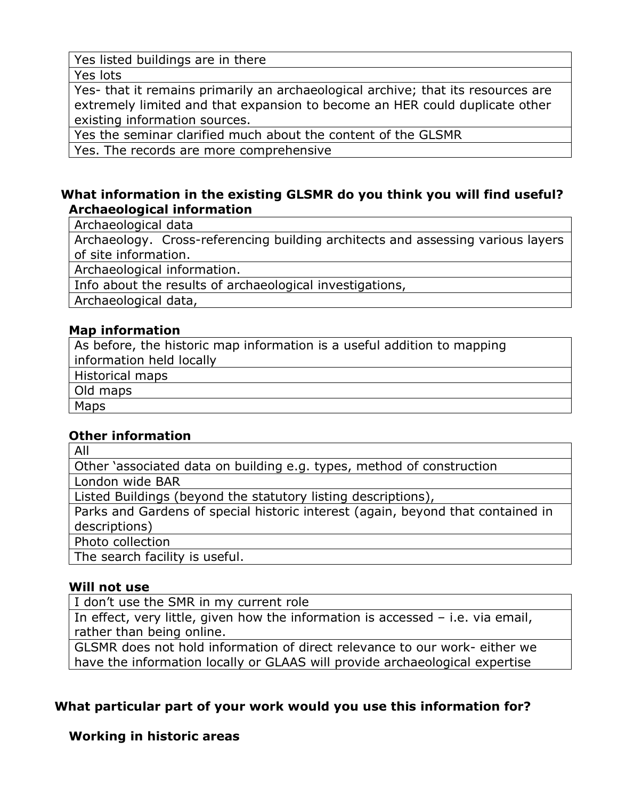Yes listed buildings are in there

Yes lots

Yes- that it remains primarily an archaeological archive; that its resources are extremely limited and that expansion to become an HER could duplicate other existing information sources.

Yes the seminar clarified much about the content of the GLSMR

Yes. The records are more comprehensive

## **What information in the existing GLSMR do you think you will find useful? Archaeological information**

Archaeological data

Archaeology. Cross-referencing building architects and assessing various layers of site information.

Archaeological information.

Info about the results of archaeological investigations,

Archaeological data,

## **Map information**

As before, the historic map information is a useful addition to mapping information held locally

Historical maps

Old maps

Maps

## **Other information**

All Other 'associated data on building e.g. types, method of construction London wide BAR Listed Buildings (beyond the statutory listing descriptions), Parks and Gardens of special historic interest (again, beyond that contained in descriptions) Photo collection The search facility is useful.

#### **Will not use**

I don't use the SMR in my current role

In effect, very little, given how the information is accessed – i.e. via email, rather than being online.

GLSMR does not hold information of direct relevance to our work- either we have the information locally or GLAAS will provide archaeological expertise

## **What particular part of your work would you use this information for?**

## **Working in historic areas**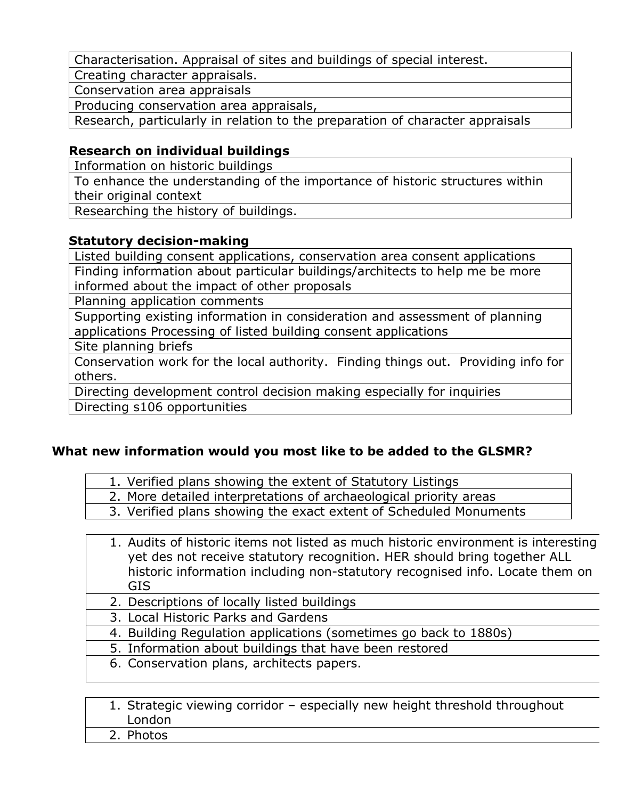Characterisation. Appraisal of sites and buildings of special interest.

Creating character appraisals.

Conservation area appraisals

Producing conservation area appraisals,

Research, particularly in relation to the preparation of character appraisals

## **Research on individual buildings**

Information on historic buildings

To enhance the understanding of the importance of historic structures within their original context

Researching the history of buildings.

## **Statutory decision-making**

Listed building consent applications, conservation area consent applications Finding information about particular buildings/architects to help me be more informed about the impact of other proposals

Planning application comments

Supporting existing information in consideration and assessment of planning applications Processing of listed building consent applications

Site planning briefs

Conservation work for the local authority. Finding things out. Providing info for others.

Directing development control decision making especially for inquiries

Directing s106 opportunities

## **What new information would you most like to be added to the GLSMR?**

|  |  | 1. Verified plans showing the extent of Statutory Listings |  |
|--|--|------------------------------------------------------------|--|
|--|--|------------------------------------------------------------|--|

- 2. More detailed interpretations of archaeological priority areas
- 3. Verified plans showing the exact extent of Scheduled Monuments

| 1. Audits of historic items not listed as much historic environment is interesting |
|------------------------------------------------------------------------------------|
| yet des not receive statutory recognition. HER should bring together ALL           |
| historic information including non-statutory recognised info. Locate them on       |
| GIS.                                                                               |

- 2. Descriptions of locally listed buildings
- 3. Local Historic Parks and Gardens
- 4. Building Regulation applications (sometimes go back to 1880s)
- 5. Information about buildings that have been restored
- 6. Conservation plans, architects papers.

| 1. Strategic viewing corridor - especially new height threshold throughout |  |
|----------------------------------------------------------------------------|--|
| London                                                                     |  |
| 2. Photos                                                                  |  |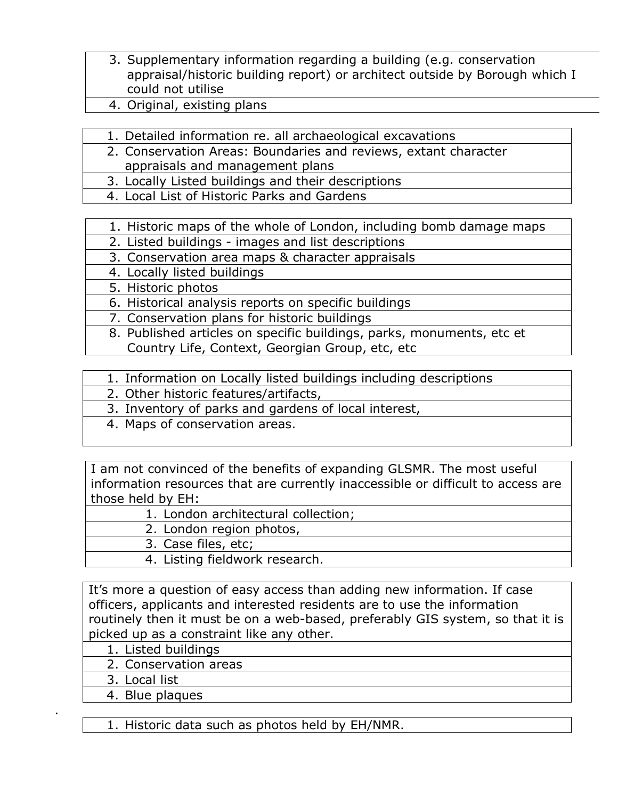- 3. Supplementary information regarding a building (e.g. conservation appraisal/historic building report) or architect outside by Borough which I could not utilise
- 4. Original, existing plans
- 1. Detailed information re. all archaeological excavations
- 2. Conservation Areas: Boundaries and reviews, extant character appraisals and management plans
- 3. Locally Listed buildings and their descriptions
- 4. Local List of Historic Parks and Gardens
- 1. Historic maps of the whole of London, including bomb damage maps
- 2. Listed buildings images and list descriptions

3. Conservation area maps & character appraisals

- 4. Locally listed buildings
- 5. Historic photos
- 6. Historical analysis reports on specific buildings
- 7. Conservation plans for historic buildings
- 8. Published articles on specific buildings, parks, monuments, etc et Country Life, Context, Georgian Group, etc, etc
- 1. Information on Locally listed buildings including descriptions
- 2. Other historic features/artifacts,
- 3. Inventory of parks and gardens of local interest,
- 4. Maps of conservation areas.

I am not convinced of the benefits of expanding GLSMR. The most useful information resources that are currently inaccessible or difficult to access are those held by EH:

- 1. London architectural collection;
	- 2. London region photos,
	- 3. Case files, etc;
	- 4. Listing fieldwork research.

It's more a question of easy access than adding new information. If case officers, applicants and interested residents are to use the information routinely then it must be on a web-based, preferably GIS system, so that it is picked up as a constraint like any other.

- 1. Listed buildings
- 2. Conservation areas
- 3. Local list

.

4. Blue plaques

1. Historic data such as photos held by EH/NMR.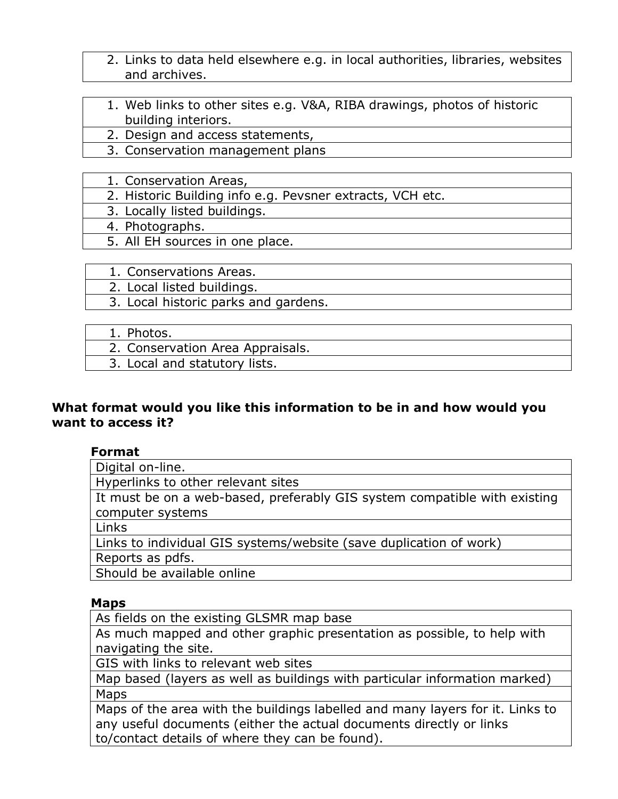- 2. Links to data held elsewhere e.g. in local authorities, libraries, websites and archives.
- 1. Web links to other sites e.g. V&A, RIBA drawings, photos of historic building interiors.
- 2. Design and access statements,
- 3. Conservation management plans
- 1. Conservation Areas,
- 2. Historic Building info e.g. Pevsner extracts, VCH etc.
- 3. Locally listed buildings.
- 4. Photographs.
- 5. All EH sources in one place.
- 1. Conservations Areas.
- 2. Local listed buildings.
- 3. Local historic parks and gardens.

- 2. Conservation Area Appraisals.
- 3. Local and statutory lists.

#### **What format would you like this information to be in and how would you want to access it?**

#### **Format**

Digital on-line.

Hyperlinks to other relevant sites

It must be on a web-based, preferably GIS system compatible with existing computer systems

Links

Links to individual GIS systems/website (save duplication of work)

Reports as pdfs.

Should be available online

#### **Maps**

As fields on the existing GLSMR map base

As much mapped and other graphic presentation as possible, to help with navigating the site.

GIS with links to relevant web sites

Map based (layers as well as buildings with particular information marked) Maps

Maps of the area with the buildings labelled and many layers for it. Links to any useful documents (either the actual documents directly or links to/contact details of where they can be found).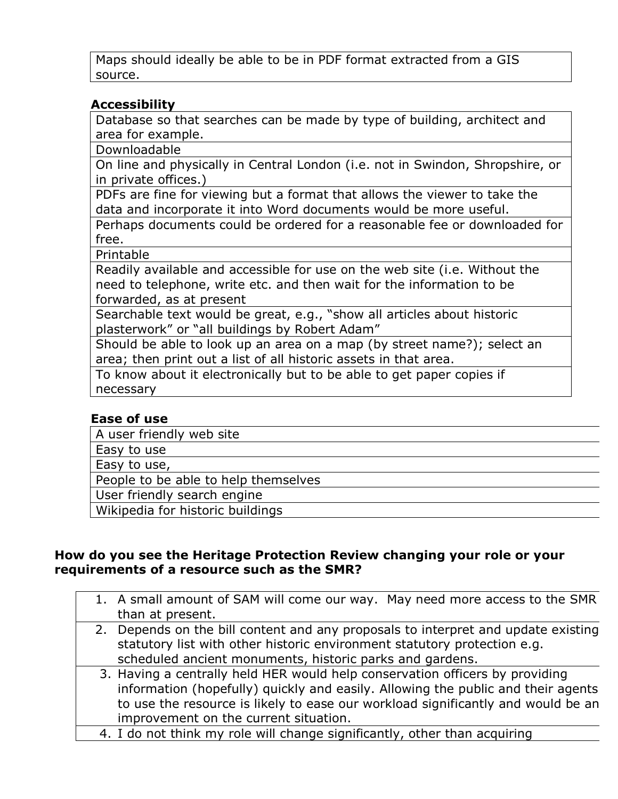Maps should ideally be able to be in PDF format extracted from a GIS source.

### **Accessibility**

Database so that searches can be made by type of building, architect and area for example.

Downloadable

On line and physically in Central London (i.e. not in Swindon, Shropshire, or in private offices.)

PDFs are fine for viewing but a format that allows the viewer to take the data and incorporate it into Word documents would be more useful.

Perhaps documents could be ordered for a reasonable fee or downloaded for free.

Printable

Readily available and accessible for use on the web site (i.e. Without the need to telephone, write etc. and then wait for the information to be forwarded, as at present

Searchable text would be great, e.g., "show all articles about historic plasterwork" or "all buildings by Robert Adam"

Should be able to look up an area on a map (by street name?); select an area; then print out a list of all historic assets in that area.

To know about it electronically but to be able to get paper copies if necessary

#### **Ease of use**

A user friendly web site

Easy to use

Easy to use,

People to be able to help themselves

User friendly search engine

Wikipedia for historic buildings

#### **How do you see the Heritage Protection Review changing your role or your requirements of a resource such as the SMR?**

|  | 1. A small amount of SAM will come our way. May need more access to the SMR       |
|--|-----------------------------------------------------------------------------------|
|  | than at present.                                                                  |
|  | 2. Depends on the bill content and any proposals to interpret and update existing |
|  | statutory list with other historic environment statutory protection e.g.          |
|  | scheduled ancient monuments, historic parks and gardens.                          |
|  | 3. Having a centrally held HER would help conservation officers by providing      |
|  | information (hopefully) quickly and easily. Allowing the public and their agents  |
|  | to use the resource is likely to ease our workload significantly and would be an  |
|  | improvement on the current situation.                                             |
|  | 4. I do not think my role will change significantly, other than acquiring         |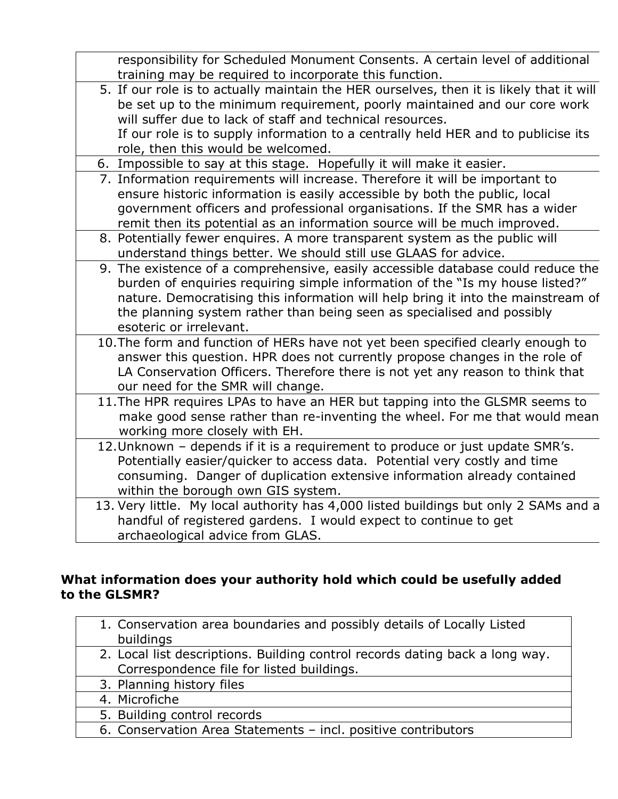| responsibility for Scheduled Monument Consents. A certain level of additional<br>training may be required to incorporate this function.                                                                                                                                                                                                                       |
|---------------------------------------------------------------------------------------------------------------------------------------------------------------------------------------------------------------------------------------------------------------------------------------------------------------------------------------------------------------|
| 5. If our role is to actually maintain the HER ourselves, then it is likely that it will<br>be set up to the minimum requirement, poorly maintained and our core work<br>will suffer due to lack of staff and technical resources.<br>If our role is to supply information to a centrally held HER and to publicise its<br>role, then this would be welcomed. |
| 6. Impossible to say at this stage. Hopefully it will make it easier.                                                                                                                                                                                                                                                                                         |
| 7. Information requirements will increase. Therefore it will be important to<br>ensure historic information is easily accessible by both the public, local<br>government officers and professional organisations. If the SMR has a wider<br>remit then its potential as an information source will be much improved.                                          |
| 8. Potentially fewer enquires. A more transparent system as the public will<br>understand things better. We should still use GLAAS for advice.                                                                                                                                                                                                                |
| 9. The existence of a comprehensive, easily accessible database could reduce the<br>burden of enquiries requiring simple information of the "Is my house listed?"<br>nature. Democratising this information will help bring it into the mainstream of<br>the planning system rather than being seen as specialised and possibly<br>esoteric or irrelevant.    |
| 10. The form and function of HERs have not yet been specified clearly enough to<br>answer this question. HPR does not currently propose changes in the role of<br>LA Conservation Officers. Therefore there is not yet any reason to think that<br>our need for the SMR will change.                                                                          |
| 11. The HPR requires LPAs to have an HER but tapping into the GLSMR seems to<br>make good sense rather than re-inventing the wheel. For me that would mean<br>working more closely with EH.                                                                                                                                                                   |
| 12. Unknown - depends if it is a requirement to produce or just update SMR's.<br>Potentially easier/quicker to access data. Potential very costly and time<br>consuming. Danger of duplication extensive information already contained<br>within the borough own GIS system.                                                                                  |
| 13. Very little. My local authority has 4,000 listed buildings but only 2 SAMs and a<br>handful of registered gardens. I would expect to continue to get<br>archaeological advice from GLAS.                                                                                                                                                                  |

## **What information does your authority hold which could be usefully added to the GLSMR?**

| 1. Conservation area boundaries and possibly details of Locally Listed<br>buildings                                       |
|---------------------------------------------------------------------------------------------------------------------------|
| 2. Local list descriptions. Building control records dating back a long way.<br>Correspondence file for listed buildings. |
| 3. Planning history files                                                                                                 |
| 4. Microfiche                                                                                                             |
| 5. Building control records                                                                                               |
| 6. Conservation Area Statements - incl. positive contributors                                                             |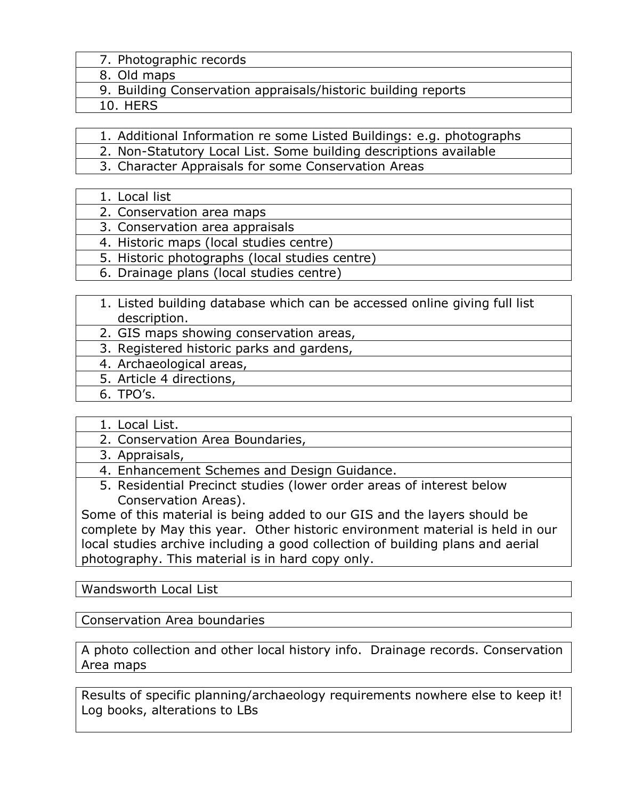- 7. Photographic records
- 8. Old maps
- 9. Building Conservation appraisals/historic building reports
- 10. HERS

1. Additional Information re some Listed Buildings: e.g. photographs

- 2. Non-Statutory Local List. Some building descriptions available
- 3. Character Appraisals for some Conservation Areas
- 1. Local list
- 2. Conservation area maps
- 3. Conservation area appraisals
- 4. Historic maps (local studies centre)
- 5. Historic photographs (local studies centre)
- 6. Drainage plans (local studies centre)
- 1. Listed building database which can be accessed online giving full list description.
- 2. GIS maps showing conservation areas,
- 3. Registered historic parks and gardens,
- 4. Archaeological areas,
- 5. Article 4 directions,
	- 6. TPO's.
- 1. Local List.
- 2. Conservation Area Boundaries,
- 3. Appraisals,
- 4. Enhancement Schemes and Design Guidance.
- 5. Residential Precinct studies (lower order areas of interest below Conservation Areas).

Some of this material is being added to our GIS and the layers should be complete by May this year. Other historic environment material is held in our local studies archive including a good collection of building plans and aerial photography. This material is in hard copy only.

Wandsworth Local List

Conservation Area boundaries

A photo collection and other local history info. Drainage records. Conservation Area maps

Results of specific planning/archaeology requirements nowhere else to keep it! Log books, alterations to LBs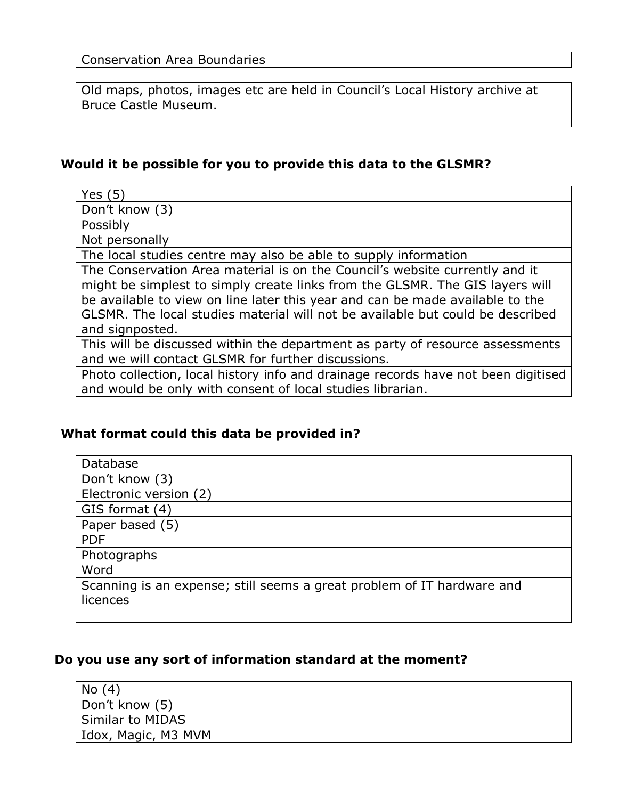Old maps, photos, images etc are held in Council's Local History archive at Bruce Castle Museum.

## **Would it be possible for you to provide this data to the GLSMR?**

| Yes $(5)$                                                                         |
|-----------------------------------------------------------------------------------|
| Don't know (3)                                                                    |
| Possibly                                                                          |
| Not personally                                                                    |
| The local studies centre may also be able to supply information                   |
| The Conservation Area material is on the Council's website currently and it       |
| might be simplest to simply create links from the GLSMR. The GIS layers will      |
| be available to view on line later this year and can be made available to the     |
| GLSMR. The local studies material will not be available but could be described    |
| and signposted.                                                                   |
| This will be discussed within the department as party of resource assessments     |
| and we will contact GLSMR for further discussions.                                |
| Photo collection, local history info and drainage records have not been digitised |
| and would be only with consent of local studies librarian.                        |

## **What format could this data be provided in?**

| Database                                                               |
|------------------------------------------------------------------------|
| Don't know (3)                                                         |
| Electronic version (2)                                                 |
| GIS format (4)                                                         |
| Paper based (5)                                                        |
| <b>PDF</b>                                                             |
| Photographs                                                            |
| Word                                                                   |
| Scanning is an expense; still seems a great problem of IT hardware and |
| licences                                                               |
|                                                                        |

#### **Do you use any sort of information standard at the moment?**

| (4)<br>No           |  |
|---------------------|--|
| Don't know (5)      |  |
| Similar to MIDAS    |  |
| Idox, Magic, M3 MVM |  |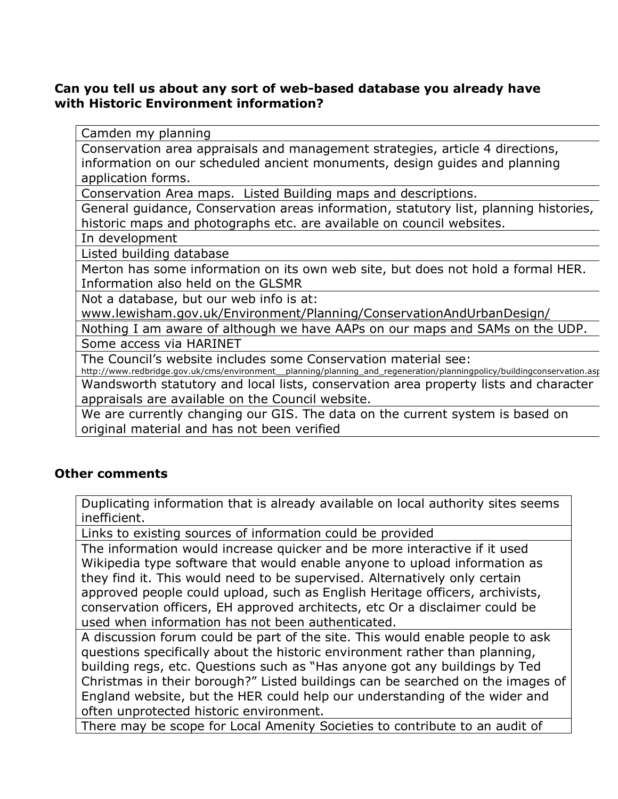#### **Can you tell us about any sort of web-based database you already have with Historic Environment information?**

Camden my planning

Conservation area appraisals and management strategies, article 4 directions, information on our scheduled ancient monuments, design guides and planning application forms.

Conservation Area maps. Listed Building maps and descriptions.

General guidance, Conservation areas information, statutory list, planning histories, historic maps and photographs etc. are available on council websites.

In development

Listed building database

Merton has some information on its own web site, but does not hold a formal HER. Information also held on the GLSMR

Not a database, but our web info is at:

www.lewisham.gov.uk/Environment/Planning/ConservationAndUrbanDesign/

Nothing I am aware of although we have AAPs on our maps and SAMs on the UDP. Some access via HARINET

The Council's website includes some Conservation material see:

http://www.redbridge.gov.uk/cms/environment\_\_planning/planning\_and\_regeneration/planningpolicy/buildingconservation.aspx Wandsworth statutory and local lists, conservation area property lists and character appraisals are available on the Council website.

We are currently changing our GIS. The data on the current system is based on original material and has not been verified

#### **Other comments**

Duplicating information that is already available on local authority sites seems inefficient.

Links to existing sources of information could be provided

The information would increase quicker and be more interactive if it used Wikipedia type software that would enable anyone to upload information as they find it. This would need to be supervised. Alternatively only certain approved people could upload, such as English Heritage officers, archivists, conservation officers, EH approved architects, etc Or a disclaimer could be used when information has not been authenticated.

A discussion forum could be part of the site. This would enable people to ask questions specifically about the historic environment rather than planning, building regs, etc. Questions such as "Has anyone got any buildings by Ted Christmas in their borough?" Listed buildings can be searched on the images of England website, but the HER could help our understanding of the wider and often unprotected historic environment.

There may be scope for Local Amenity Societies to contribute to an audit of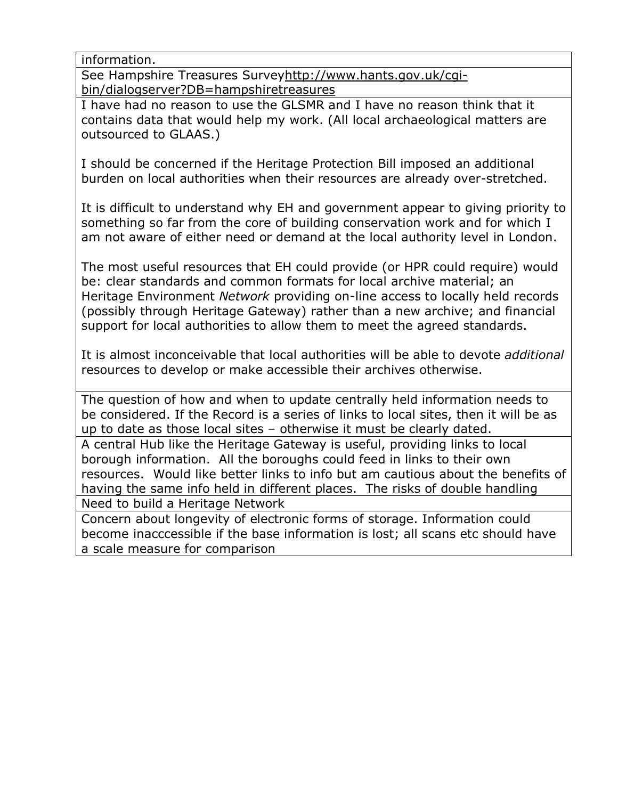information.

See Hampshire Treasures Surveyhttp://www.hants.gov.uk/cgibin/dialogserver?DB=hampshiretreasures

I have had no reason to use the GLSMR and I have no reason think that it contains data that would help my work. (All local archaeological matters are outsourced to GLAAS.)

I should be concerned if the Heritage Protection Bill imposed an additional burden on local authorities when their resources are already over-stretched.

It is difficult to understand why EH and government appear to giving priority to something so far from the core of building conservation work and for which I am not aware of either need or demand at the local authority level in London.

The most useful resources that EH could provide (or HPR could require) would be: clear standards and common formats for local archive material; an Heritage Environment *Network* providing on-line access to locally held records (possibly through Heritage Gateway) rather than a new archive; and financial support for local authorities to allow them to meet the agreed standards.

It is almost inconceivable that local authorities will be able to devote *additional* resources to develop or make accessible their archives otherwise.

The question of how and when to update centrally held information needs to be considered. If the Record is a series of links to local sites, then it will be as up to date as those local sites – otherwise it must be clearly dated.

A central Hub like the Heritage Gateway is useful, providing links to local borough information. All the boroughs could feed in links to their own resources. Would like better links to info but am cautious about the benefits of having the same info held in different places. The risks of double handling

Need to build a Heritage Network

Concern about longevity of electronic forms of storage. Information could become inacccessible if the base information is lost; all scans etc should have a scale measure for comparison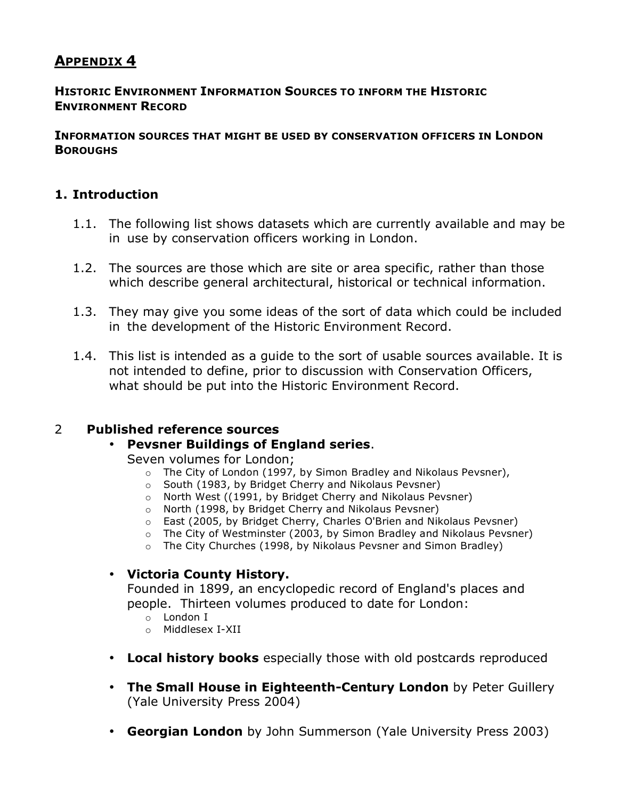## **APPENDIX 4**

#### **HISTORIC ENVIRONMENT INFORMATION SOURCES TO INFORM THE HISTORIC ENVIRONMENT RECORD**

#### **INFORMATION SOURCES THAT MIGHT BE USED BY CONSERVATION OFFICERS IN LONDON BOROUGHS**

#### **1. Introduction**

- 1.1. The following list shows datasets which are currently available and may be in use by conservation officers working in London.
- 1.2. The sources are those which are site or area specific, rather than those which describe general architectural, historical or technical information.
- 1.3. They may give you some ideas of the sort of data which could be included in the development of the Historic Environment Record.
- 1.4. This list is intended as a guide to the sort of usable sources available. It is not intended to define, prior to discussion with Conservation Officers, what should be put into the Historic Environment Record.

#### 2 **Published reference sources**

#### • **Pevsner Buildings of England series**.

- Seven volumes for London;
	- o The City of London (1997, by Simon Bradley and Nikolaus Pevsner),
	- o South (1983, by Bridget Cherry and Nikolaus Pevsner)
	- o North West ((1991, by Bridget Cherry and Nikolaus Pevsner)
	- o North (1998, by Bridget Cherry and Nikolaus Pevsner)
	- o East (2005, by Bridget Cherry, Charles O'Brien and Nikolaus Pevsner)
	- $\circ$  The City of Westminster (2003, by Simon Bradley and Nikolaus Pevsner)
	- o The City Churches (1998, by Nikolaus Pevsner and Simon Bradley)

#### • **Victoria County History.**

Founded in 1899, an encyclopedic record of England's places and people. Thirteen volumes produced to date for London:

- $\circ$  London I
- o Middlesex I-XII
- **Local history books** especially those with old postcards reproduced
- **The Small House in Eighteenth-Century London** by Peter Guillery (Yale University Press 2004)
- **Georgian London** by John Summerson (Yale University Press 2003)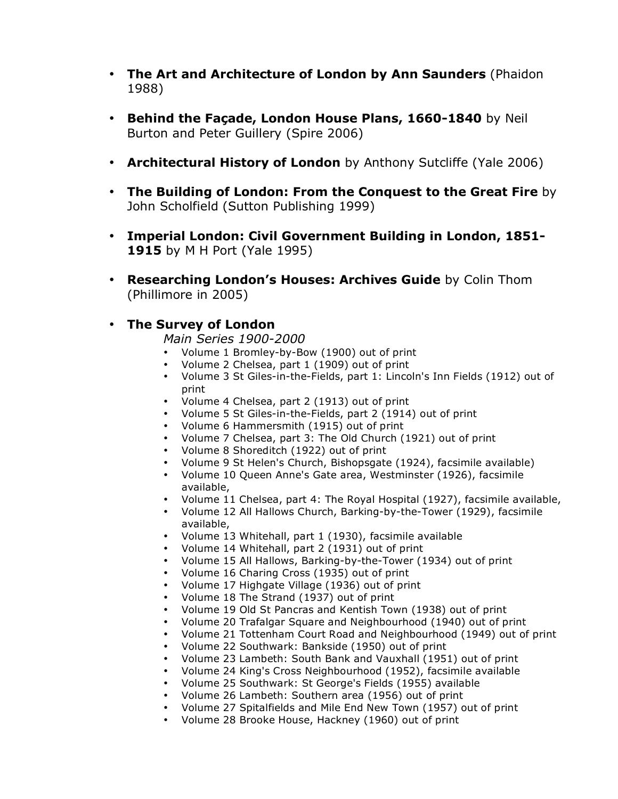- **The Art and Architecture of London by Ann Saunders** (Phaidon 1988)
- **Behind the Façade, London House Plans, 1660-1840** by Neil Burton and Peter Guillery (Spire 2006)
- **Architectural History of London** by Anthony Sutcliffe (Yale 2006)
- **The Building of London: From the Conquest to the Great Fire** by John Scholfield (Sutton Publishing 1999)
- **Imperial London: Civil Government Building in London, 1851- 1915** by M H Port (Yale 1995)
- **Researching London's Houses: Archives Guide** by Colin Thom (Phillimore in 2005)

#### • **The Survey of London**

*Main Series 1900-2000*

- Volume 1 Bromley-by-Bow (1900) out of print
- Volume 2 Chelsea, part 1 (1909) out of print<br>• Volume 3 St Giles-in-the-Fields, part 1: Lincol
- Volume 3 St Giles-in-the-Fields, part 1: Lincoln's Inn Fields (1912) out of print
- Volume 4 Chelsea, part 2 (1913) out of print
- Volume 5 St Giles-in-the-Fields, part 2 (1914) out of print
- Volume 6 Hammersmith (1915) out of print
- Volume 7 Chelsea, part 3: The Old Church (1921) out of print
- Volume 8 Shoreditch (1922) out of print
- Volume 9 St Helen's Church, Bishopsgate (1924), facsimile available)
- Volume 10 Queen Anne's Gate area, Westminster (1926), facsimile available,
- Volume 11 Chelsea, part 4: The Royal Hospital (1927), facsimile available,
- Volume 12 All Hallows Church, Barking-by-the-Tower (1929), facsimile available,
- Volume 13 Whitehall, part 1 (1930), facsimile available
- Volume 14 Whitehall, part 2 (1931) out of print
- Volume 15 All Hallows, Barking-by-the-Tower (1934) out of print
- Volume 16 Charing Cross (1935) out of print
- Volume 17 Highgate Village (1936) out of print
- Volume 18 The Strand (1937) out of print
- Volume 19 Old St Pancras and Kentish Town (1938) out of print
- Volume 20 Trafalgar Square and Neighbourhood (1940) out of print
- Volume 21 Tottenham Court Road and Neighbourhood (1949) out of print
- Volume 22 Southwark: Bankside (1950) out of print
- Volume 23 Lambeth: South Bank and Vauxhall (1951) out of print
- Volume 24 King's Cross Neighbourhood (1952), facsimile available
- Volume 25 Southwark: St George's Fields (1955) available
- Volume 26 Lambeth: Southern area (1956) out of print
- Volume 27 Spitalfields and Mile End New Town (1957) out of print
- Volume 28 Brooke House, Hackney (1960) out of print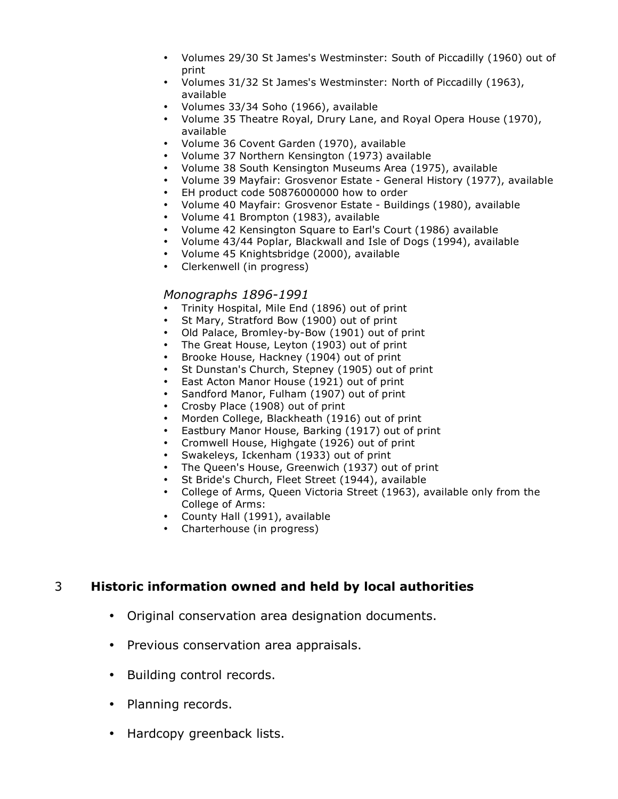- Volumes 29/30 St James's Westminster: South of Piccadilly (1960) out of print
- Volumes 31/32 St James's Westminster: North of Piccadilly (1963), available
- Volumes 33/34 Soho (1966), available
- Volume 35 Theatre Royal, Drury Lane, and Royal Opera House (1970), available
- Volume 36 Covent Garden (1970), available
- Volume 37 Northern Kensington (1973) available
- Volume 38 South Kensington Museums Area (1975), available
- Volume 39 Mayfair: Grosvenor Estate General History (1977), available
- EH product code 50876000000 how to order
- Volume 40 Mayfair: Grosvenor Estate Buildings (1980), available
- Volume 41 Brompton (1983), available
- Volume 42 Kensington Square to Earl's Court (1986) available
- Volume 43/44 Poplar, Blackwall and Isle of Dogs (1994), available
- Volume 45 Knightsbridge (2000), available
- Clerkenwell (in progress)

#### *Monographs 1896-1991*

- Trinity Hospital, Mile End (1896) out of print
- St Mary, Stratford Bow (1900) out of print<br>• Old Palace, Bromley-by-Bow (1901) out of
- Old Palace, Bromley-by-Bow (1901) out of print
- The Great House, Leyton (1903) out of print
- Brooke House, Hackney (1904) out of print
- St Dunstan's Church, Stepney (1905) out of print
- East Acton Manor House (1921) out of print
- Sandford Manor, Fulham (1907) out of print
- Crosby Place (1908) out of print
- Morden College, Blackheath (1916) out of print
- Eastbury Manor House, Barking (1917) out of print
- Cromwell House, Highgate (1926) out of print
- Swakeleys, Ickenham (1933) out of print
- The Queen's House, Greenwich (1937) out of print
- St Bride's Church, Fleet Street (1944), available
- College of Arms, Queen Victoria Street (1963), available only from the College of Arms:
- County Hall (1991), available
- Charterhouse (in progress)

#### 3 **Historic information owned and held by local authorities**

- Original conservation area designation documents.
- Previous conservation area appraisals.
- Building control records.
- Planning records.
- Hardcopy greenback lists.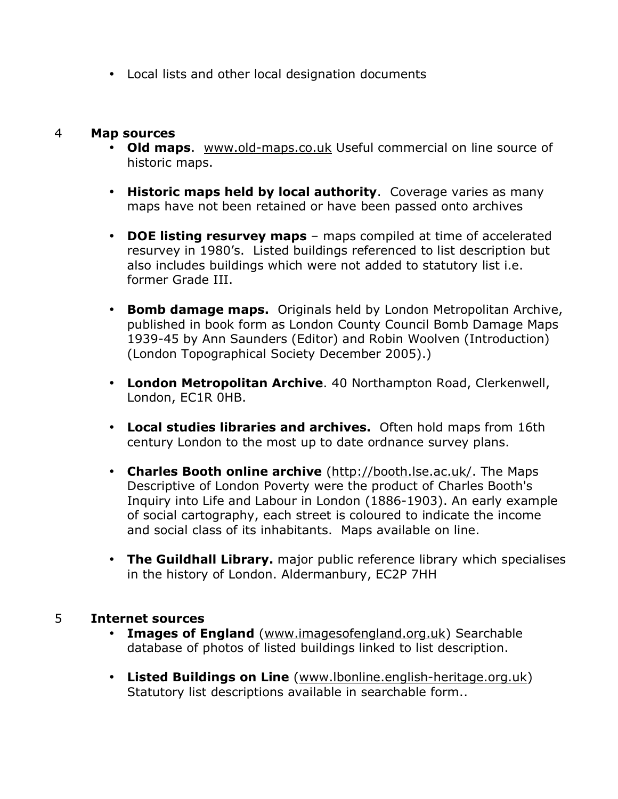• Local lists and other local designation documents

#### 4 **Map sources**

- **Old maps**. www.old-maps.co.uk Useful commercial on line source of historic maps.
- **Historic maps held by local authority**. Coverage varies as many maps have not been retained or have been passed onto archives
- **DOE listing resurvey maps** maps compiled at time of accelerated resurvey in 1980's. Listed buildings referenced to list description but also includes buildings which were not added to statutory list i.e. former Grade III.
- **Bomb damage maps.** Originals held by London Metropolitan Archive, published in book form as London County Council Bomb Damage Maps 1939-45 by Ann Saunders (Editor) and Robin Woolven (Introduction) (London Topographical Society December 2005).)
- **London Metropolitan Archive**. 40 Northampton Road, Clerkenwell, London, EC1R 0HB.
- **Local studies libraries and archives.** Often hold maps from 16th century London to the most up to date ordnance survey plans.
- **Charles Booth online archive** (http://booth.lse.ac.uk/. The Maps Descriptive of London Poverty were the product of Charles Booth's Inquiry into Life and Labour in London (1886-1903). An early example of social cartography, each street is coloured to indicate the income and social class of its inhabitants. Maps available on line.
- **The Guildhall Library.** major public reference library which specialises in the history of London. Aldermanbury, EC2P 7HH

#### 5 **Internet sources**

- **Images of England** (www.imagesofengland.org.uk) Searchable database of photos of listed buildings linked to list description.
- **Listed Buildings on Line** (www.lbonline.english-heritage.org.uk) Statutory list descriptions available in searchable form..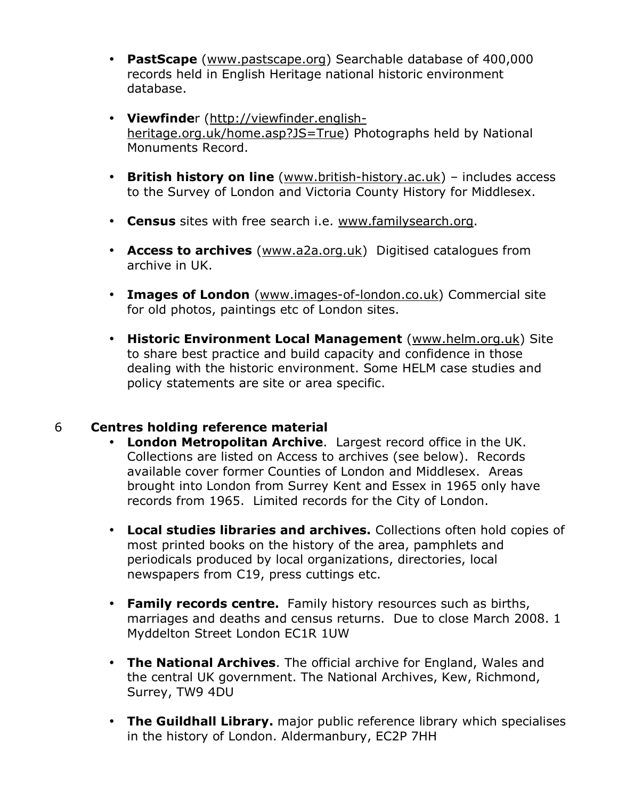- **PastScape** (www.pastscape.org) Searchable database of 400,000 records held in English Heritage national historic environment database.
- **Viewfinde**r (http://viewfinder.englishheritage.org.uk/home.asp?JS=True) Photographs held by National Monuments Record.
- **British history on line** (www.british-history.ac.uk) includes access to the Survey of London and Victoria County History for Middlesex.
- **Census** sites with free search i.e. www.familysearch.org.
- **Access to archives** (www.a2a.org.uk) Digitised catalogues from archive in UK.
- **Images of London** (www.images-of-london.co.uk) Commercial site for old photos, paintings etc of London sites.
- **Historic Environment Local Management** (www.helm.org.uk) Site to share best practice and build capacity and confidence in those dealing with the historic environment. Some HELM case studies and policy statements are site or area specific.

## 6 **Centres holding reference material**

- **London Metropolitan Archive**. Largest record office in the UK. Collections are listed on Access to archives (see below). Records available cover former Counties of London and Middlesex. Areas brought into London from Surrey Kent and Essex in 1965 only have records from 1965. Limited records for the City of London.
- **Local studies libraries and archives.** Collections often hold copies of most printed books on the history of the area, pamphlets and periodicals produced by local organizations, directories, local newspapers from C19, press cuttings etc.
- **Family records centre.** Family history resources such as births, marriages and deaths and census returns. Due to close March 2008. 1 Myddelton Street London EC1R 1UW
- **The National Archives**. The official archive for England, Wales and the central UK government. The National Archives, Kew, Richmond, Surrey, TW9 4DU
- **The Guildhall Library.** major public reference library which specialises in the history of London. Aldermanbury, EC2P 7HH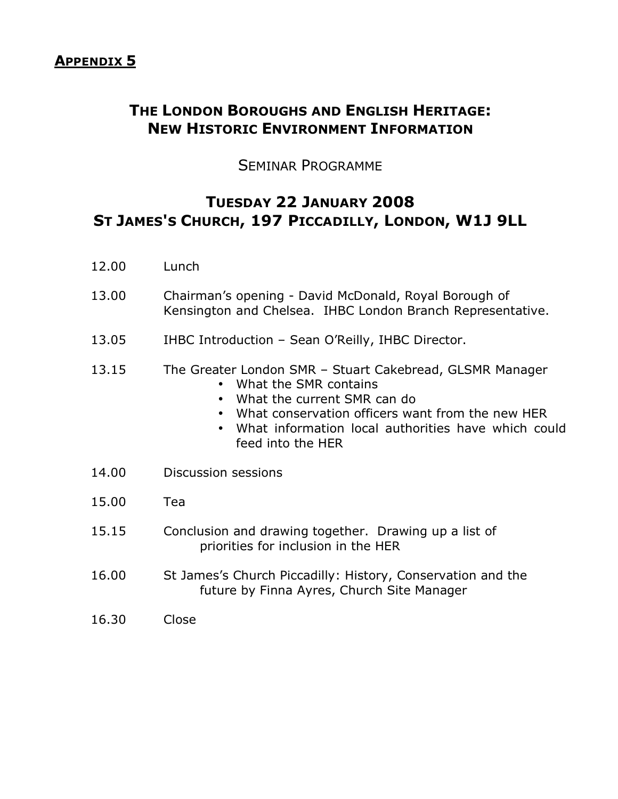# **THE LONDON BOROUGHS AND ENGLISH HERITAGE: NEW HISTORIC ENVIRONMENT INFORMATION**

# SEMINAR PROGRAMME

# **TUESDAY 22 JANUARY 2008 ST JAMES'S CHURCH, 197 PICCADILLY, LONDON, W1J 9LL**

- 12.00 Lunch
- 13.00 Chairman's opening David McDonald, Royal Borough of Kensington and Chelsea. IHBC London Branch Representative.
- 13.05 IHBC Introduction Sean O'Reilly, IHBC Director.
- 13.15 The Greater London SMR Stuart Cakebread, GLSMR Manager
	- What the SMR contains
	- What the current SMR can do
	- What conservation officers want from the new HER
	- What information local authorities have which could feed into the HER
- 14.00 Discussion sessions
- 15.00 Tea
- 15.15 Conclusion and drawing together. Drawing up a list of priorities for inclusion in the HER
- 16.00 St James's Church Piccadilly: History, Conservation and the future by Finna Ayres, Church Site Manager
- 16.30 Close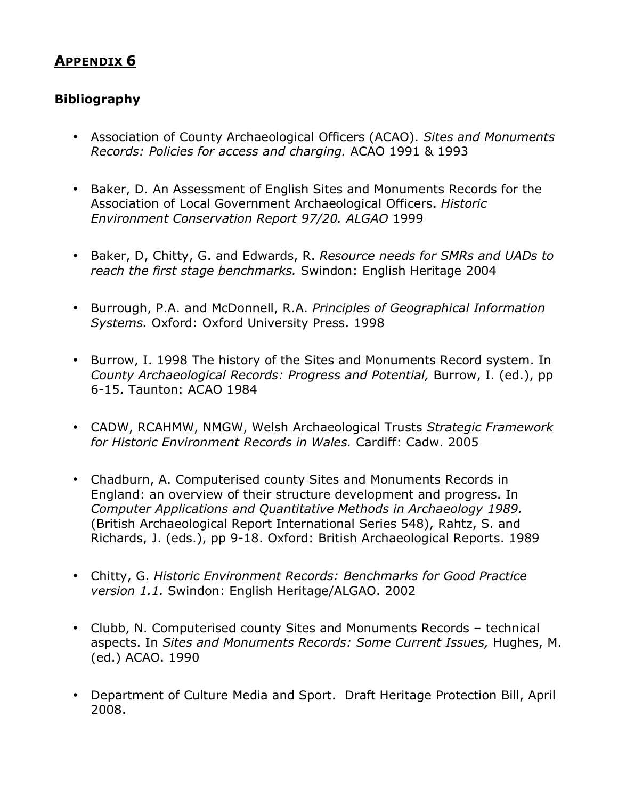## **APPENDIX 6**

## **Bibliography**

- Association of County Archaeological Officers (ACAO). *Sites and Monuments Records: Policies for access and charging.* ACAO 1991 & 1993
- Baker, D. An Assessment of English Sites and Monuments Records for the Association of Local Government Archaeological Officers. *Historic Environment Conservation Report 97/20. ALGAO* 1999
- Baker, D, Chitty, G. and Edwards, R. *Resource needs for SMRs and UADs to reach the first stage benchmarks.* Swindon: English Heritage 2004
- Burrough, P.A. and McDonnell, R.A. *Principles of Geographical Information Systems.* Oxford: Oxford University Press. 1998
- Burrow, I. 1998 The history of the Sites and Monuments Record system. In *County Archaeological Records: Progress and Potential,* Burrow, I. (ed.), pp 6-15. Taunton: ACAO 1984
- CADW, RCAHMW, NMGW, Welsh Archaeological Trusts *Strategic Framework for Historic Environment Records in Wales.* Cardiff: Cadw. 2005
- Chadburn, A. Computerised county Sites and Monuments Records in England: an overview of their structure development and progress. In *Computer Applications and Quantitative Methods in Archaeology 1989.* (British Archaeological Report International Series 548), Rahtz, S. and Richards, J. (eds.), pp 9-18. Oxford: British Archaeological Reports. 1989
- Chitty, G. *Historic Environment Records: Benchmarks for Good Practice version 1.1.* Swindon: English Heritage/ALGAO. 2002
- Clubb, N. Computerised county Sites and Monuments Records technical aspects. In *Sites and Monuments Records: Some Current Issues,* Hughes, M. (ed.) ACAO. 1990
- Department of Culture Media and Sport. Draft Heritage Protection Bill, April 2008.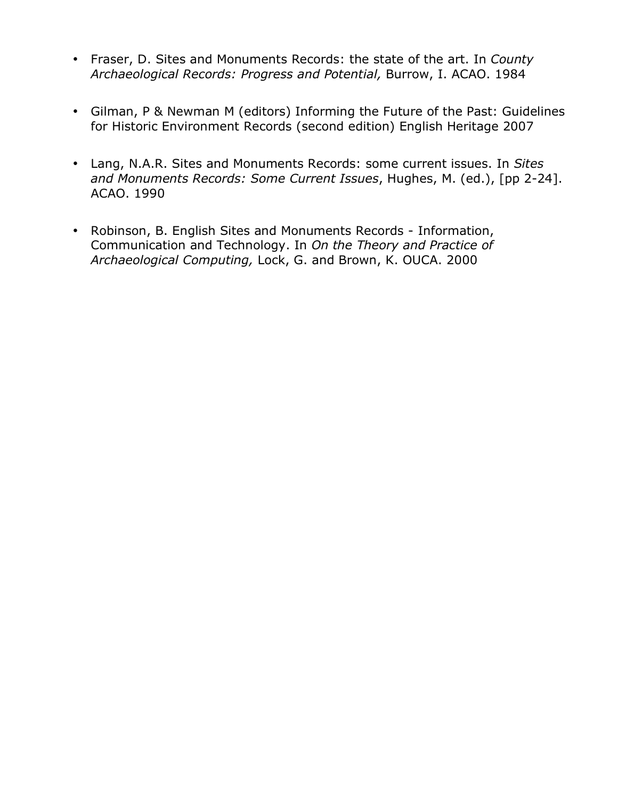- Fraser, D. Sites and Monuments Records: the state of the art. In *County Archaeological Records: Progress and Potential,* Burrow, I. ACAO. 1984
- Gilman, P & Newman M (editors) Informing the Future of the Past: Guidelines for Historic Environment Records (second edition) English Heritage 2007
- Lang, N.A.R. Sites and Monuments Records: some current issues. In *Sites and Monuments Records: Some Current Issues*, Hughes, M. (ed.), [pp 2-24]. ACAO. 1990
- Robinson, B. English Sites and Monuments Records Information, Communication and Technology. In *On the Theory and Practice of Archaeological Computing,* Lock, G. and Brown, K. OUCA. 2000